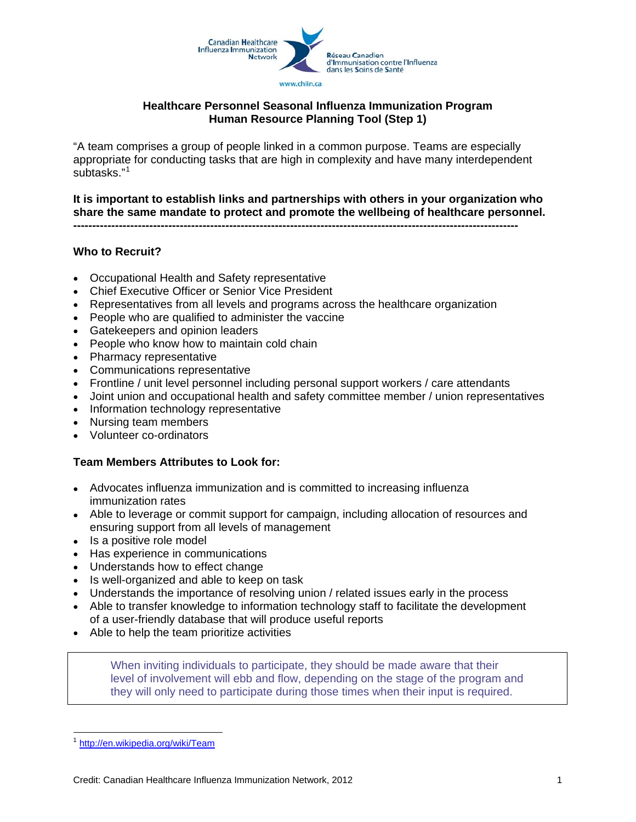

#### **Healthcare Personnel Seasonal Influenza Immunization Program Human Resource Planning Tool (Step 1)**

"A team comprises a group of people linked in a common purpose. Teams are especially appropriate for conducting tasks that are high in complexity and have many interdependent subtasks."[1](#page-0-0)

**It is important to establish links and partnerships with others in your organization who share the same mandate to protect and promote the wellbeing of healthcare personnel. ---------------------------------------------------------------------------------------------------------------------** 

#### **Who to Recruit?**

- Occupational Health and Safety representative
- Chief Executive Officer or Senior Vice President
- Representatives from all levels and programs across the healthcare organization
- People who are qualified to administer the vaccine
- Gatekeepers and opinion leaders
- People who know how to maintain cold chain
- Pharmacy representative
- Communications representative
- Frontline / unit level personnel including personal support workers / care attendants
- Joint union and occupational health and safety committee member / union representatives
- Information technology representative
- Nursing team members
- Volunteer co-ordinators

#### **Team Members Attributes to Look for:**

- Advocates influenza immunization and is committed to increasing influenza immunization rates
- Able to leverage or commit support for campaign, including allocation of resources and ensuring support from all levels of management
- Is a positive role model
- Has experience in communications
- Understands how to effect change
- Is well-organized and able to keep on task
- Understands the importance of resolving union / related issues early in the process
- Able to transfer knowledge to information technology staff to facilitate the development of a user-friendly database that will produce useful reports
- Able to help the team prioritize activities

When inviting individuals to participate, they should be made aware that their level of involvement will ebb and flow, depending on the stage of the program and they will only need to participate during those times when their input is required.

<span id="page-0-0"></span> $\overline{a}$ <http://en.wikipedia.org/wiki/Team>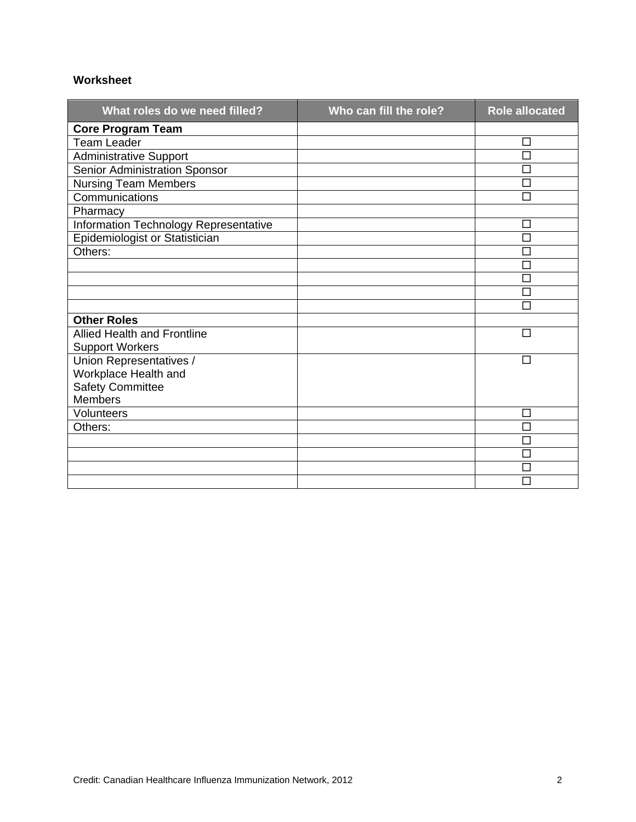#### **Worksheet**

| What roles do we need filled?         | Who can fill the role? | <b>Role allocated</b> |
|---------------------------------------|------------------------|-----------------------|
| <b>Core Program Team</b>              |                        |                       |
| <b>Team Leader</b>                    |                        | □                     |
| <b>Administrative Support</b>         |                        | П                     |
| Senior Administration Sponsor         |                        | П                     |
| <b>Nursing Team Members</b>           |                        | П                     |
| Communications                        |                        | П                     |
| Pharmacy                              |                        |                       |
| Information Technology Representative |                        | $\Box$                |
| Epidemiologist or Statistician        |                        | □                     |
| Others:                               |                        |                       |
|                                       |                        | □                     |
|                                       |                        | П                     |
|                                       |                        | $\Box$                |
|                                       |                        | П                     |
| <b>Other Roles</b>                    |                        |                       |
| <b>Allied Health and Frontline</b>    |                        | П                     |
| <b>Support Workers</b>                |                        |                       |
| Union Representatives /               |                        | П                     |
| Workplace Health and                  |                        |                       |
| <b>Safety Committee</b>               |                        |                       |
| <b>Members</b>                        |                        |                       |
| Volunteers                            |                        | П                     |
| Others:                               |                        | П                     |
|                                       |                        |                       |
|                                       |                        | $\Box$                |
|                                       |                        | $\Box$                |
|                                       |                        |                       |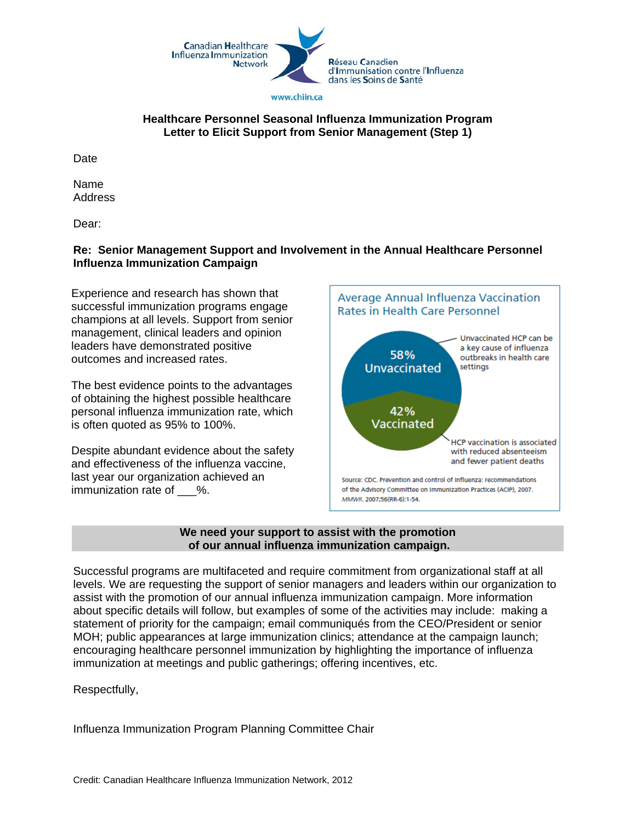

#### **Healthcare Personnel Seasonal Influenza Immunization Program Letter to Elicit Support from Senior Management (Step 1)**

**Date** 

Name Address

Dear:

#### **Re: Senior Management Support and Involvement in the Annual Healthcare Personnel Influenza Immunization Campaign**

Experience and research has shown that successful immunization programs engage champions at all levels. Support from senior management, clinical leaders and opinion leaders have demonstrated positive outcomes and increased rates.

The best evidence points to the advantages of obtaining the highest possible healthcare personal influenza immunization rate, which is often quoted as 95% to 100%.

Despite abundant evidence about the safety and effectiveness of the influenza vaccine, last year our organization achieved an immunization rate of %.



#### **We need your support to assist with the promotion of our annual influenza immunization campaign.**

Successful programs are multifaceted and require commitment from organizational staff at all levels. We are requesting the support of senior managers and leaders within our organization to assist with the promotion of our annual influenza immunization campaign. More information about specific details will follow, but examples of some of the activities may include: making a statement of priority for the campaign; email communiqués from the CEO/President or senior MOH; public appearances at large immunization clinics; attendance at the campaign launch; encouraging healthcare personnel immunization by highlighting the importance of influenza immunization at meetings and public gatherings; offering incentives, etc.

Respectfully,

Influenza Immunization Program Planning Committee Chair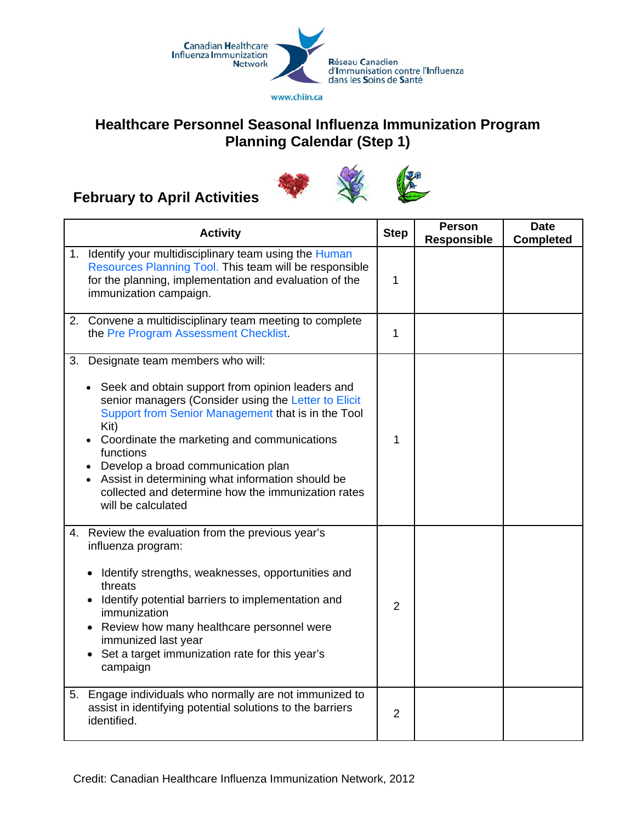

# **Healthcare Personnel Seasonal Influenza Immunization Program Planning Calendar (Step 1)**



# **February to April Activities**

|    | <b>Activity</b>                                                                                                                                                                                                                                                                                                                                                                                                                                | <b>Step</b>    | <b>Person</b><br><b>Responsible</b> | <b>Date</b><br><b>Completed</b> |
|----|------------------------------------------------------------------------------------------------------------------------------------------------------------------------------------------------------------------------------------------------------------------------------------------------------------------------------------------------------------------------------------------------------------------------------------------------|----------------|-------------------------------------|---------------------------------|
|    | 1. Identify your multidisciplinary team using the Human<br>Resources Planning Tool. This team will be responsible<br>for the planning, implementation and evaluation of the<br>immunization campaign.                                                                                                                                                                                                                                          | 1              |                                     |                                 |
|    | 2. Convene a multidisciplinary team meeting to complete<br>the Pre Program Assessment Checklist.                                                                                                                                                                                                                                                                                                                                               | 1              |                                     |                                 |
| 3. | Designate team members who will:<br>• Seek and obtain support from opinion leaders and<br>senior managers (Consider using the Letter to Elicit<br>Support from Senior Management that is in the Tool<br>Kit)<br>Coordinate the marketing and communications<br>functions<br>Develop a broad communication plan<br>Assist in determining what information should be<br>collected and determine how the immunization rates<br>will be calculated | 1              |                                     |                                 |
|    | 4. Review the evaluation from the previous year's<br>influenza program:<br>Identify strengths, weaknesses, opportunities and<br>$\bullet$<br>threats<br>Identify potential barriers to implementation and<br>immunization<br>• Review how many healthcare personnel were<br>immunized last year<br>Set a target immunization rate for this year's<br>campaign                                                                                  | $\overline{2}$ |                                     |                                 |
|    | 5. Engage individuals who normally are not immunized to<br>assist in identifying potential solutions to the barriers<br>identified.                                                                                                                                                                                                                                                                                                            | 2              |                                     |                                 |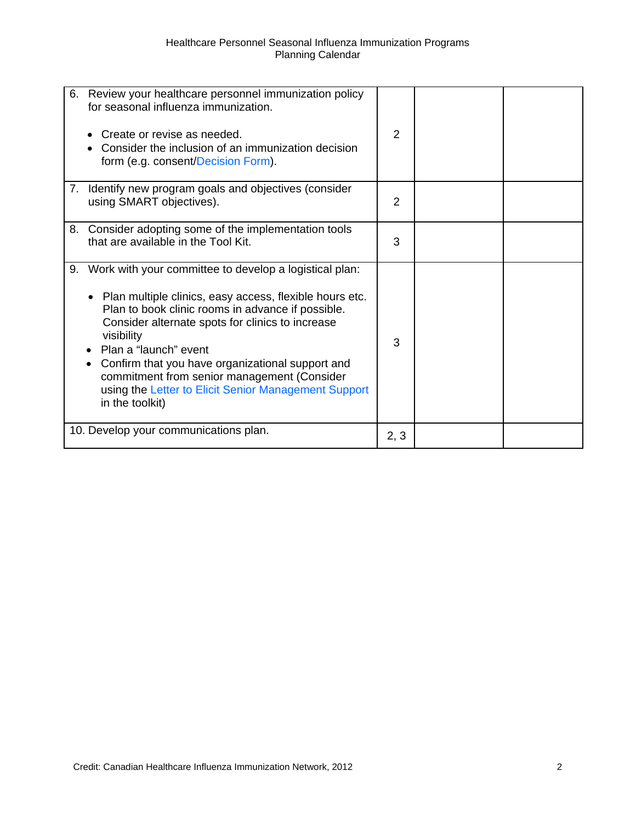| 6. Review your healthcare personnel immunization policy<br>for seasonal influenza immunization.<br>Create or revise as needed.<br>Consider the inclusion of an immunization decision<br>form (e.g. consent/Decision Form).                                                                                                                                                                                                                           | $\overline{2}$ |  |
|------------------------------------------------------------------------------------------------------------------------------------------------------------------------------------------------------------------------------------------------------------------------------------------------------------------------------------------------------------------------------------------------------------------------------------------------------|----------------|--|
| Identify new program goals and objectives (consider<br>7.<br>using SMART objectives).                                                                                                                                                                                                                                                                                                                                                                | $\overline{2}$ |  |
| 8. Consider adopting some of the implementation tools<br>that are available in the Tool Kit.                                                                                                                                                                                                                                                                                                                                                         | 3              |  |
| 9. Work with your committee to develop a logistical plan:<br>• Plan multiple clinics, easy access, flexible hours etc.<br>Plan to book clinic rooms in advance if possible.<br>Consider alternate spots for clinics to increase<br>visibility<br>Plan a "launch" event<br>Confirm that you have organizational support and<br>commitment from senior management (Consider<br>using the Letter to Elicit Senior Management Support<br>in the toolkit) | 3              |  |
| 10. Develop your communications plan.                                                                                                                                                                                                                                                                                                                                                                                                                | 2, 3           |  |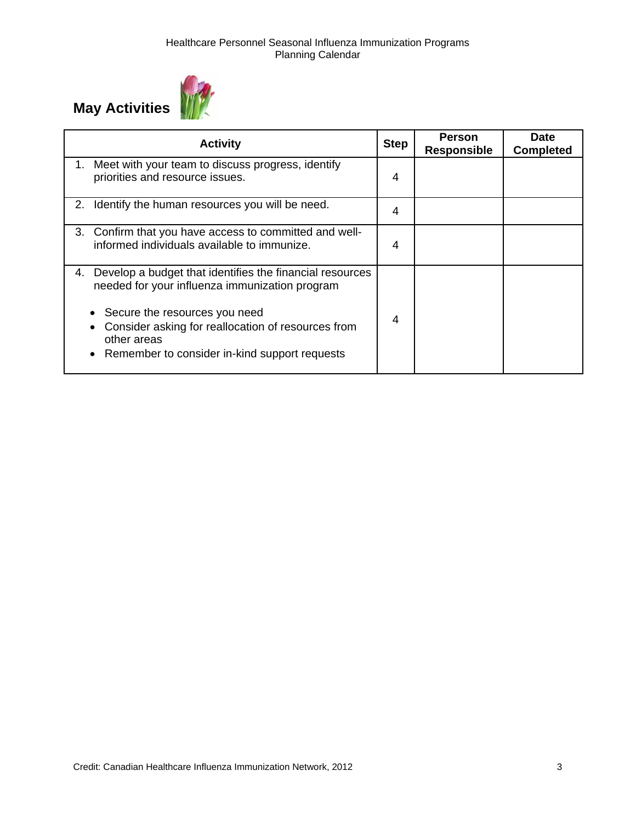

| <b>Activity</b>                                                                                                                                                                                                                                                                      | <b>Step</b> | <b>Person</b><br><b>Responsible</b> | Date<br><b>Completed</b> |
|--------------------------------------------------------------------------------------------------------------------------------------------------------------------------------------------------------------------------------------------------------------------------------------|-------------|-------------------------------------|--------------------------|
| Meet with your team to discuss progress, identify<br>priorities and resource issues.                                                                                                                                                                                                 | 4           |                                     |                          |
| Identify the human resources you will be need.<br>2.                                                                                                                                                                                                                                 | 4           |                                     |                          |
| 3. Confirm that you have access to committed and well-<br>informed individuals available to immunize.                                                                                                                                                                                | 4           |                                     |                          |
| Develop a budget that identifies the financial resources<br>4.<br>needed for your influenza immunization program<br>Secure the resources you need<br>Consider asking for reallocation of resources from<br>other areas<br>Remember to consider in-kind support requests<br>$\bullet$ | 4           |                                     |                          |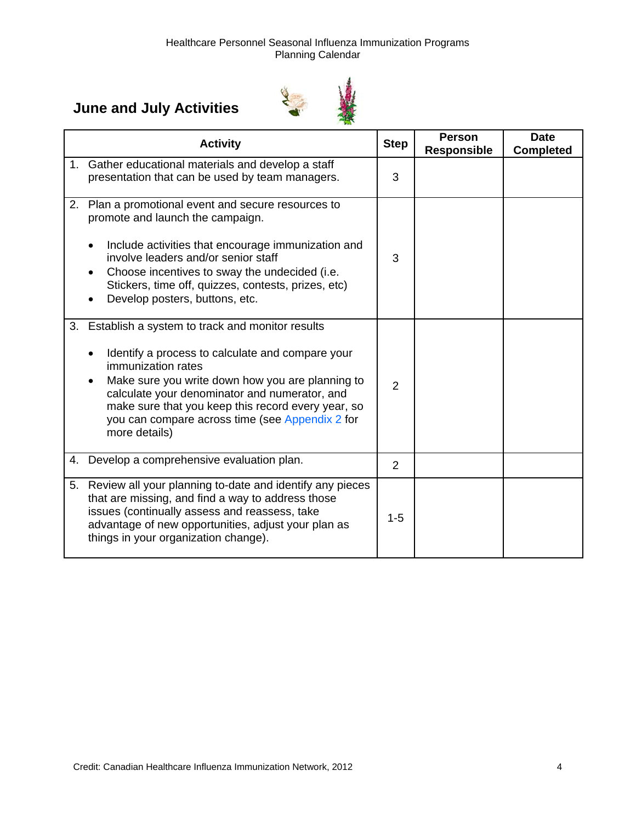# **June and July Activities**



| <b>Activity</b>                                                                                                                                                                                                                                                                                                                                             | <b>Step</b>    | <b>Person</b><br><b>Responsible</b> | <b>Date</b><br><b>Completed</b> |
|-------------------------------------------------------------------------------------------------------------------------------------------------------------------------------------------------------------------------------------------------------------------------------------------------------------------------------------------------------------|----------------|-------------------------------------|---------------------------------|
| 1. Gather educational materials and develop a staff<br>presentation that can be used by team managers.                                                                                                                                                                                                                                                      | 3              |                                     |                                 |
| 2. Plan a promotional event and secure resources to<br>promote and launch the campaign.<br>Include activities that encourage immunization and<br>involve leaders and/or senior staff<br>Choose incentives to sway the undecided (i.e.<br>Stickers, time off, quizzes, contests, prizes, etc)<br>Develop posters, buttons, etc.                              | 3              |                                     |                                 |
| 3. Establish a system to track and monitor results<br>Identify a process to calculate and compare your<br>immunization rates<br>Make sure you write down how you are planning to<br>calculate your denominator and numerator, and<br>make sure that you keep this record every year, so<br>you can compare across time (see Appendix 2 for<br>more details) | $\overline{2}$ |                                     |                                 |
| 4. Develop a comprehensive evaluation plan.                                                                                                                                                                                                                                                                                                                 | 2              |                                     |                                 |
| 5. Review all your planning to-date and identify any pieces<br>that are missing, and find a way to address those<br>issues (continually assess and reassess, take<br>advantage of new opportunities, adjust your plan as<br>things in your organization change).                                                                                            | $1 - 5$        |                                     |                                 |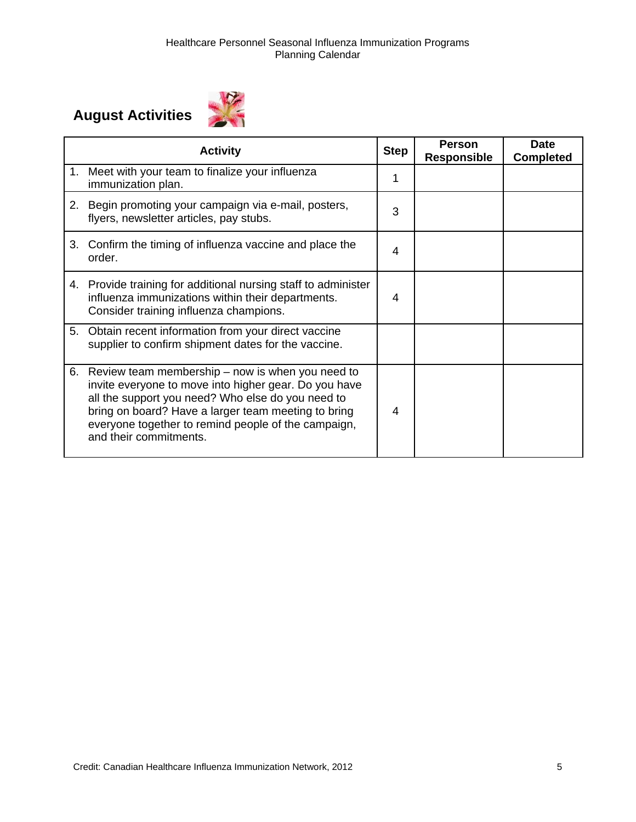# **August Activities**



|             | <b>Activity</b>                                                                                                                                                                                                                                                                                        | <b>Step</b> | <b>Person</b><br><b>Responsible</b> | <b>Date</b><br><b>Completed</b> |
|-------------|--------------------------------------------------------------------------------------------------------------------------------------------------------------------------------------------------------------------------------------------------------------------------------------------------------|-------------|-------------------------------------|---------------------------------|
| $1_{\cdot}$ | Meet with your team to finalize your influenza<br>immunization plan.                                                                                                                                                                                                                                   | 1           |                                     |                                 |
| 2.          | Begin promoting your campaign via e-mail, posters,<br>flyers, newsletter articles, pay stubs.                                                                                                                                                                                                          | 3           |                                     |                                 |
|             | 3. Confirm the timing of influenza vaccine and place the<br>order.                                                                                                                                                                                                                                     | 4           |                                     |                                 |
|             | 4. Provide training for additional nursing staff to administer<br>influenza immunizations within their departments.<br>Consider training influenza champions.                                                                                                                                          | 4           |                                     |                                 |
| 5.          | Obtain recent information from your direct vaccine<br>supplier to confirm shipment dates for the vaccine.                                                                                                                                                                                              |             |                                     |                                 |
| 6.          | Review team membership – now is when you need to<br>invite everyone to move into higher gear. Do you have<br>all the support you need? Who else do you need to<br>bring on board? Have a larger team meeting to bring<br>everyone together to remind people of the campaign,<br>and their commitments. | 4           |                                     |                                 |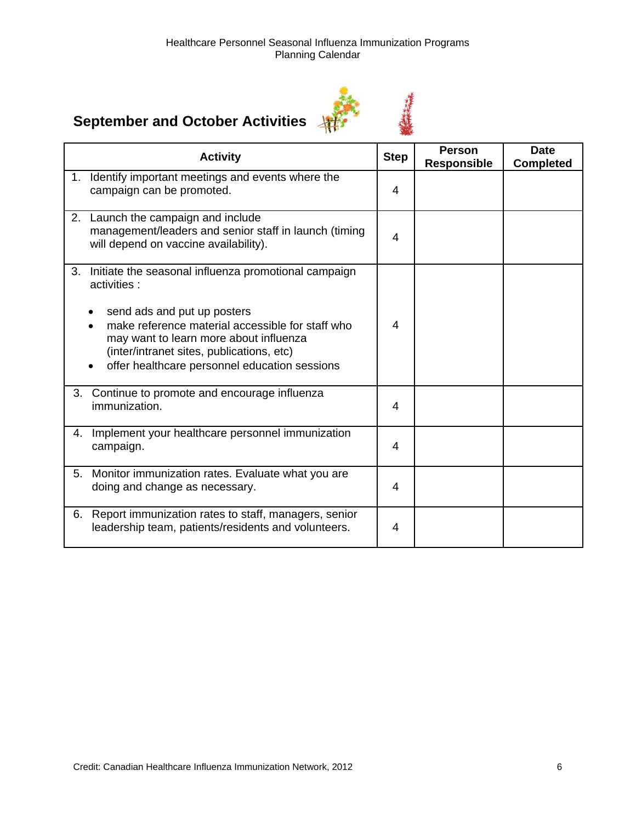# **September and October Activities**



|    | <b>Activity</b>                                                                                                                                                                                                                                                                                | <b>Step</b> | <b>Person</b><br><b>Responsible</b> | <b>Date</b><br><b>Completed</b> |
|----|------------------------------------------------------------------------------------------------------------------------------------------------------------------------------------------------------------------------------------------------------------------------------------------------|-------------|-------------------------------------|---------------------------------|
| 1. | Identify important meetings and events where the<br>campaign can be promoted.                                                                                                                                                                                                                  | 4           |                                     |                                 |
|    | 2. Launch the campaign and include<br>management/leaders and senior staff in launch (timing<br>will depend on vaccine availability).                                                                                                                                                           | 4           |                                     |                                 |
| 3. | Initiate the seasonal influenza promotional campaign<br>activities:<br>send ads and put up posters<br>make reference material accessible for staff who<br>may want to learn more about influenza<br>(inter/intranet sites, publications, etc)<br>offer healthcare personnel education sessions | 4           |                                     |                                 |
|    | 3. Continue to promote and encourage influenza<br>immunization.                                                                                                                                                                                                                                | 4           |                                     |                                 |
| 4. | Implement your healthcare personnel immunization<br>campaign.                                                                                                                                                                                                                                  | 4           |                                     |                                 |
| 5. | Monitor immunization rates. Evaluate what you are<br>doing and change as necessary.                                                                                                                                                                                                            | 4           |                                     |                                 |
| 6. | Report immunization rates to staff, managers, senior<br>leadership team, patients/residents and volunteers.                                                                                                                                                                                    | 4           |                                     |                                 |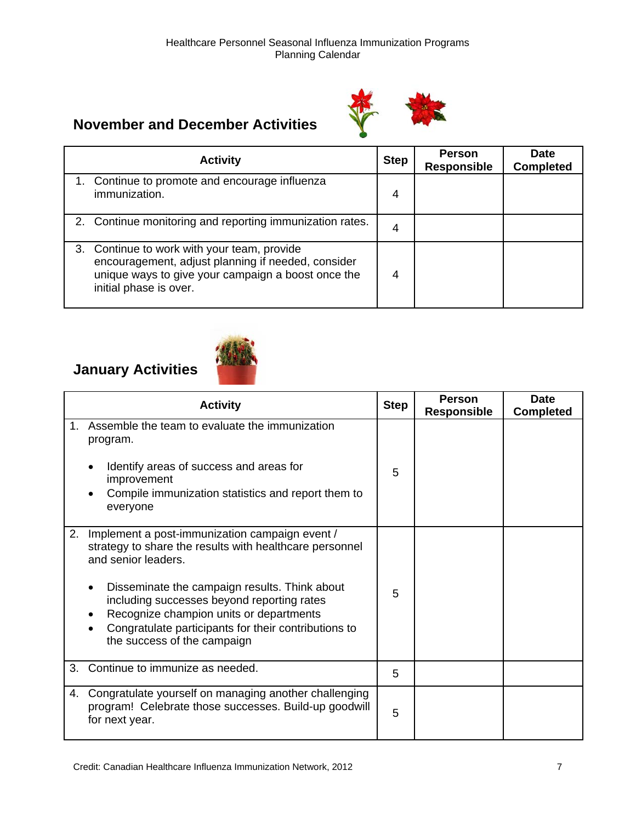# **November and December Activities**



| <b>Activity</b>                                                                                                                                                                   | <b>Step</b> | <b>Person</b><br><b>Responsible</b> | <b>Date</b><br><b>Completed</b> |
|-----------------------------------------------------------------------------------------------------------------------------------------------------------------------------------|-------------|-------------------------------------|---------------------------------|
| 1. Continue to promote and encourage influenza<br>immunization.                                                                                                                   | 4           |                                     |                                 |
| 2. Continue monitoring and reporting immunization rates.                                                                                                                          | 4           |                                     |                                 |
| 3. Continue to work with your team, provide<br>encouragement, adjust planning if needed, consider<br>unique ways to give your campaign a boost once the<br>initial phase is over. | 4           |                                     |                                 |

# **January Activities**



|    | <b>Activity</b>                                                                                                                                                                                                                                                                                                                                                   | <b>Step</b> | <b>Person</b><br><b>Responsible</b> | <b>Date</b><br><b>Completed</b> |
|----|-------------------------------------------------------------------------------------------------------------------------------------------------------------------------------------------------------------------------------------------------------------------------------------------------------------------------------------------------------------------|-------------|-------------------------------------|---------------------------------|
| 1. | Assemble the team to evaluate the immunization<br>program.<br>Identify areas of success and areas for<br>improvement<br>Compile immunization statistics and report them to<br>everyone                                                                                                                                                                            | 5           |                                     |                                 |
| 2. | Implement a post-immunization campaign event /<br>strategy to share the results with healthcare personnel<br>and senior leaders.<br>Disseminate the campaign results. Think about<br>including successes beyond reporting rates<br>Recognize champion units or departments<br>Congratulate participants for their contributions to<br>the success of the campaign | 5           |                                     |                                 |
| 3. | Continue to immunize as needed.                                                                                                                                                                                                                                                                                                                                   | 5           |                                     |                                 |
| 4. | Congratulate yourself on managing another challenging<br>program! Celebrate those successes. Build-up goodwill<br>for next year.                                                                                                                                                                                                                                  | 5           |                                     |                                 |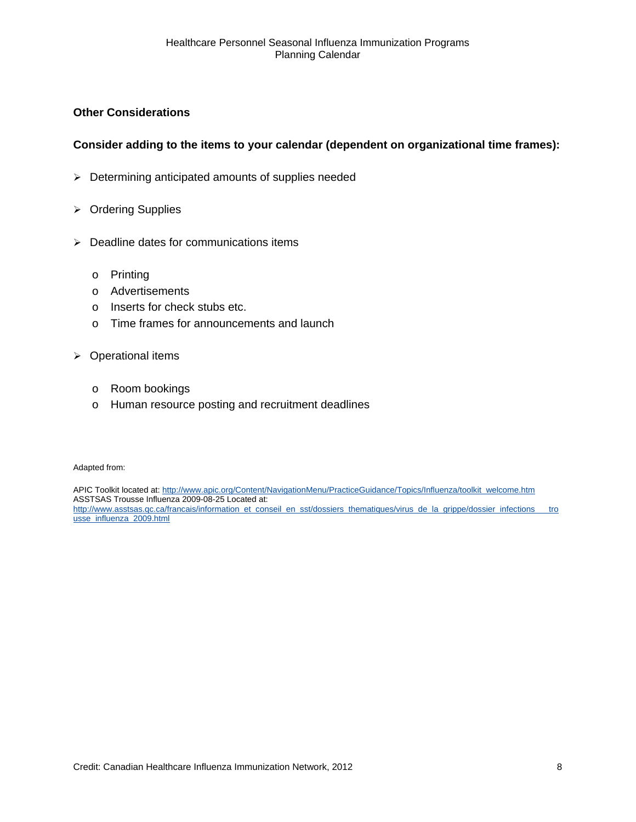#### **Other Considerations**

#### **Consider adding to the items to your calendar (dependent on organizational time frames):**

- $\triangleright$  Determining anticipated amounts of supplies needed
- ¾ Ordering Supplies
- $\triangleright$  Deadline dates for communications items
	- o Printing
	- o Advertisements
	- o Inserts for check stubs etc.
	- o Time frames for announcements and launch
- $\triangleright$  Operational items
	- o Room bookings
	- o Human resource posting and recruitment deadlines

Adapted from:

APIC Toolkit located at: [http://www.apic.org/Content/NavigationMenu/PracticeGuidance/Topics/Influenza/toolkit\\_welcome.htm](http://www.apic.org/Content/NavigationMenu/PracticeGuidance/Topics/Influenza/toolkit_welcome.htm) ASSTSAS Trousse Influenza 2009-08-25 Located at: [http://www.asstsas.qc.ca/francais/information\\_et\\_conseil\\_en\\_sst/dossiers\\_thematiques/virus\\_de\\_la\\_grippe/dossier\\_infections\\_\\_\\_tro](http://www.asstsas.qc.ca/francais/information_et_conseil_en_sst/dossiers_thematiques/virus_de_la_grippe/dossier_infections___trousse_influenza_2009.html) [usse\\_influenza\\_2009.html](http://www.asstsas.qc.ca/francais/information_et_conseil_en_sst/dossiers_thematiques/virus_de_la_grippe/dossier_infections___trousse_influenza_2009.html)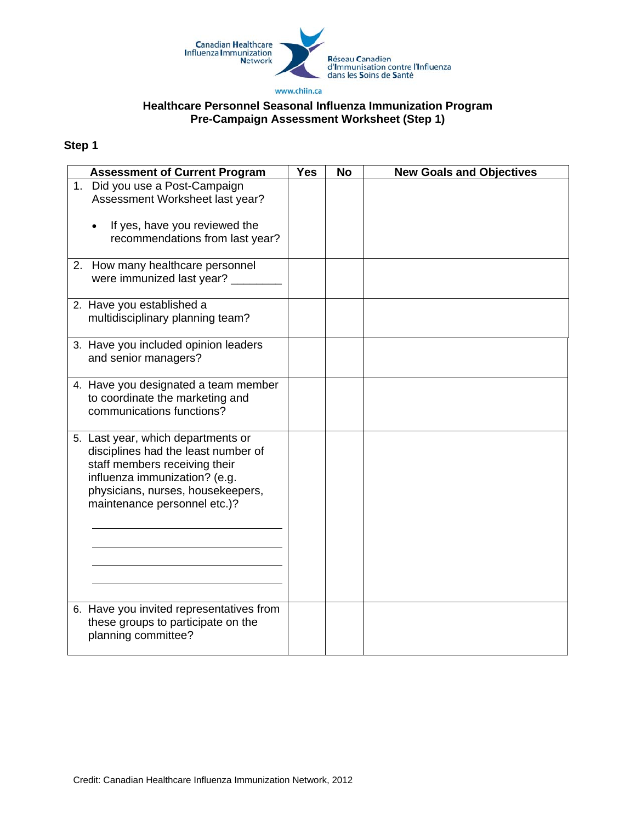

#### **Healthcare Personnel Seasonal Influenza Immunization Program Pre-Campaign Assessment Worksheet (Step 1)**

| <b>Assessment of Current Program</b>                                                                                                                                                                             | <b>Yes</b> | <b>No</b> | <b>New Goals and Objectives</b> |
|------------------------------------------------------------------------------------------------------------------------------------------------------------------------------------------------------------------|------------|-----------|---------------------------------|
| 1. Did you use a Post-Campaign<br>Assessment Worksheet last year?                                                                                                                                                |            |           |                                 |
| If yes, have you reviewed the<br>recommendations from last year?                                                                                                                                                 |            |           |                                 |
| 2. How many healthcare personnel<br>were immunized last year?                                                                                                                                                    |            |           |                                 |
| 2. Have you established a<br>multidisciplinary planning team?                                                                                                                                                    |            |           |                                 |
| 3. Have you included opinion leaders<br>and senior managers?                                                                                                                                                     |            |           |                                 |
| 4. Have you designated a team member<br>to coordinate the marketing and<br>communications functions?                                                                                                             |            |           |                                 |
| 5. Last year, which departments or<br>disciplines had the least number of<br>staff members receiving their<br>influenza immunization? (e.g.<br>physicians, nurses, housekeepers,<br>maintenance personnel etc.)? |            |           |                                 |
| 6. Have you invited representatives from<br>these groups to participate on the<br>planning committee?                                                                                                            |            |           |                                 |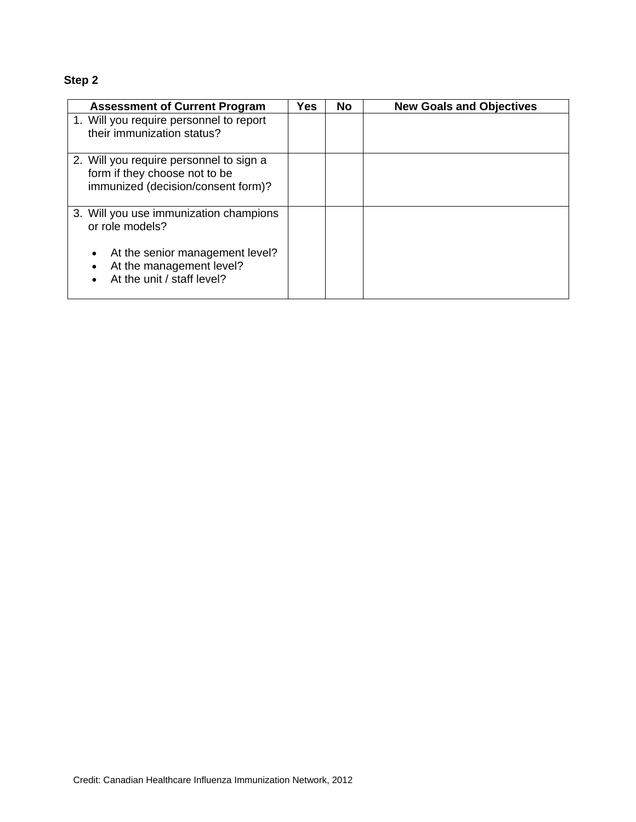| <b>Assessment of Current Program</b>                                                                                     | Yes | <b>No</b> | <b>New Goals and Objectives</b> |
|--------------------------------------------------------------------------------------------------------------------------|-----|-----------|---------------------------------|
| 1. Will you require personnel to report<br>their immunization status?                                                    |     |           |                                 |
| 2. Will you require personnel to sign a<br>form if they choose not to be<br>immunized (decision/consent form)?           |     |           |                                 |
| 3. Will you use immunization champions<br>or role models?<br>At the senior management level?<br>At the management level? |     |           |                                 |
| At the unit / staff level?                                                                                               |     |           |                                 |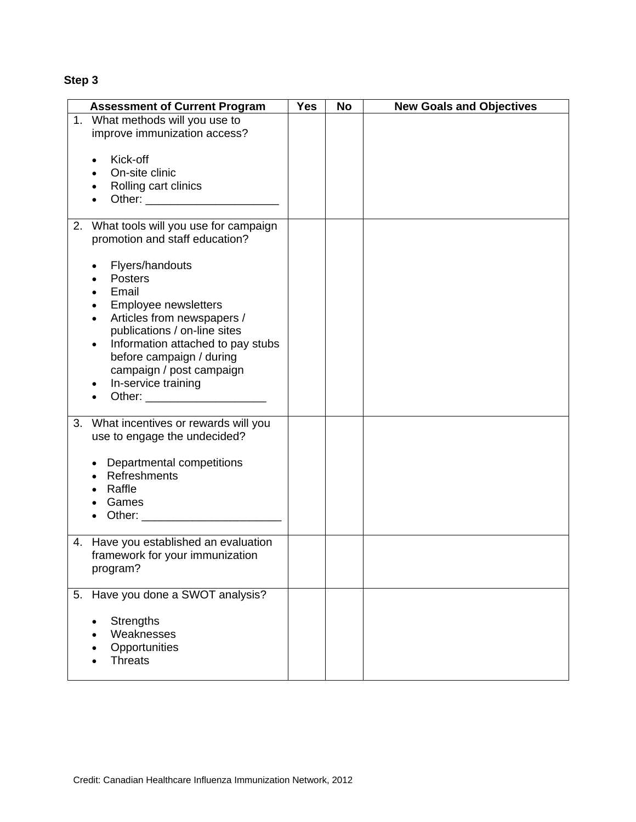| <b>Assessment of Current Program</b>                              | <b>Yes</b> | <b>No</b> | <b>New Goals and Objectives</b> |
|-------------------------------------------------------------------|------------|-----------|---------------------------------|
| 1. What methods will you use to                                   |            |           |                                 |
| improve immunization access?                                      |            |           |                                 |
| Kick-off                                                          |            |           |                                 |
| On-site clinic                                                    |            |           |                                 |
| Rolling cart clinics                                              |            |           |                                 |
|                                                                   |            |           |                                 |
| 2. What tools will you use for campaign                           |            |           |                                 |
| promotion and staff education?                                    |            |           |                                 |
| Flyers/handouts                                                   |            |           |                                 |
| Posters                                                           |            |           |                                 |
| Email                                                             |            |           |                                 |
| Employee newsletters                                              |            |           |                                 |
| Articles from newspapers /                                        |            |           |                                 |
| publications / on-line sites<br>Information attached to pay stubs |            |           |                                 |
| before campaign / during                                          |            |           |                                 |
| campaign / post campaign                                          |            |           |                                 |
| In-service training                                               |            |           |                                 |
|                                                                   |            |           |                                 |
| What incentives or rewards will you<br>3.                         |            |           |                                 |
| use to engage the undecided?                                      |            |           |                                 |
|                                                                   |            |           |                                 |
| Departmental competitions                                         |            |           |                                 |
| Refreshments<br>Raffle                                            |            |           |                                 |
| Games                                                             |            |           |                                 |
| Other: ______________________                                     |            |           |                                 |
|                                                                   |            |           |                                 |
| 4. Have you established an evaluation                             |            |           |                                 |
| framework for your immunization<br>program?                       |            |           |                                 |
|                                                                   |            |           |                                 |
| 5. Have you done a SWOT analysis?                                 |            |           |                                 |
| <b>Strengths</b>                                                  |            |           |                                 |
| Weaknesses                                                        |            |           |                                 |
| Opportunities                                                     |            |           |                                 |
| <b>Threats</b>                                                    |            |           |                                 |
|                                                                   |            |           |                                 |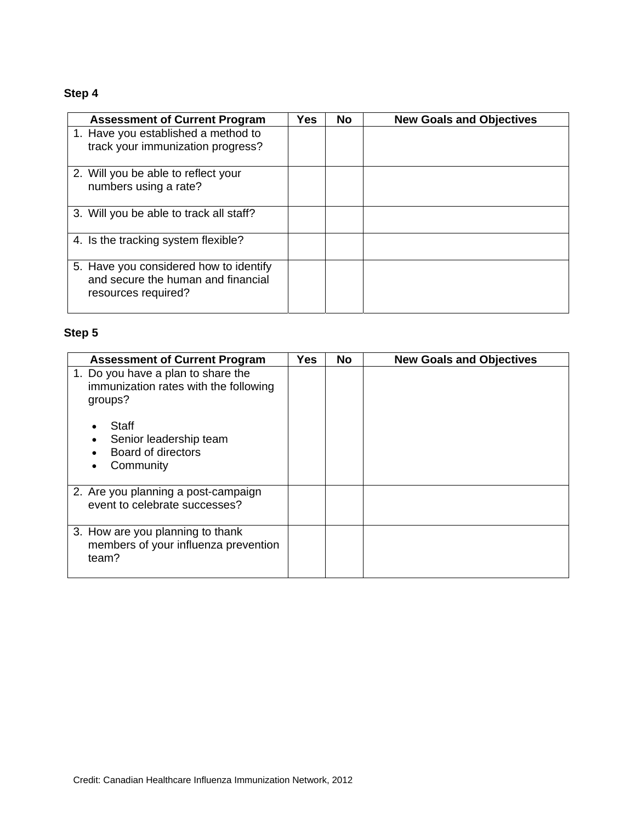| <b>Assessment of Current Program</b>                                                                | Yes | No | <b>New Goals and Objectives</b> |
|-----------------------------------------------------------------------------------------------------|-----|----|---------------------------------|
| 1. Have you established a method to                                                                 |     |    |                                 |
| track your immunization progress?                                                                   |     |    |                                 |
| 2. Will you be able to reflect your                                                                 |     |    |                                 |
| numbers using a rate?                                                                               |     |    |                                 |
| 3. Will you be able to track all staff?                                                             |     |    |                                 |
| 4. Is the tracking system flexible?                                                                 |     |    |                                 |
| 5. Have you considered how to identify<br>and secure the human and financial<br>resources required? |     |    |                                 |

| <b>Assessment of Current Program</b>                                                   | <b>Yes</b> | No | <b>New Goals and Objectives</b> |
|----------------------------------------------------------------------------------------|------------|----|---------------------------------|
| 1. Do you have a plan to share the<br>immunization rates with the following<br>groups? |            |    |                                 |
| Staff<br>Senior leadership team<br><b>Board of directors</b><br>Community              |            |    |                                 |
| 2. Are you planning a post-campaign<br>event to celebrate successes?                   |            |    |                                 |
| 3. How are you planning to thank<br>members of your influenza prevention<br>team?      |            |    |                                 |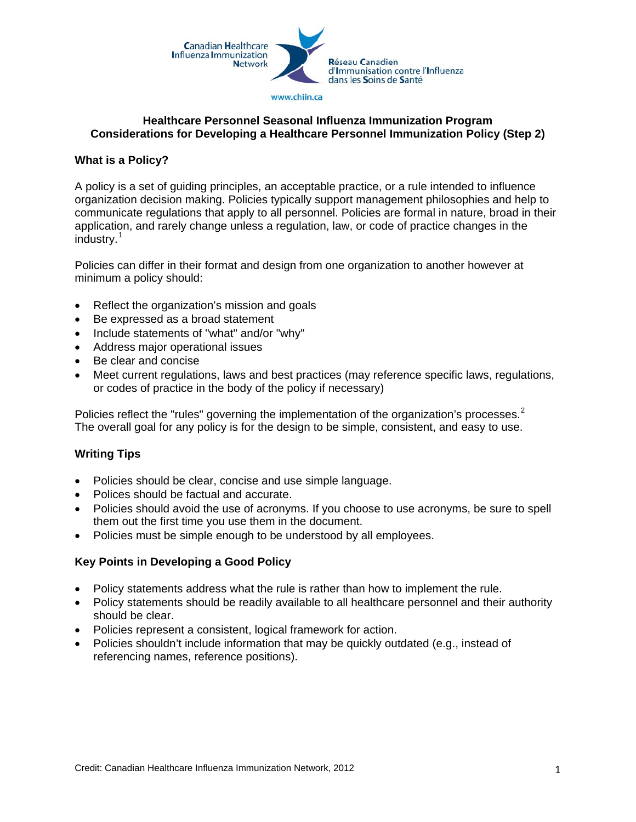

#### **Healthcare Personnel Seasonal Influenza Immunization Program Considerations for Developing a Healthcare Personnel Immunization Policy (Step 2)**

#### **What is a Policy?**

A policy is a set of guiding principles, an acceptable practice, or a rule intended to influence organization decision making. Policies typically support management philosophies and help to communicate regulations that apply to all personnel. Policies are formal in nature, broad in their application, and rarely change unless a regulation, law, or code of practice changes in the industry.[1](#page-16-0)

Policies can differ in their format and design from one organization to another however at minimum a policy should:

- Reflect the organization's mission and goals
- Be expressed as a broad statement
- Include statements of "what" and/or "why"
- Address major operational issues
- Be clear and concise
- Meet current regulations, laws and best practices (may reference specific laws, regulations, or codes of practice in the body of the policy if necessary)

Policies reflect the "rules" governing the implementation of the organization's processes.<sup>[2](#page-16-1)</sup> The overall goal for any policy is for the design to be simple, consistent, and easy to use.

### **Writing Tips**

- Policies should be clear, concise and use simple language.
- Polices should be factual and accurate.
- Policies should avoid the use of acronyms. If you choose to use acronyms, be sure to spell them out the first time you use them in the document.
- Policies must be simple enough to be understood by all employees.

#### **Key Points in Developing a Good Policy**

- Policy statements address what the rule is rather than how to implement the rule.
- Policy statements should be readily available to all healthcare personnel and their authority should be clear.
- Policies represent a consistent, logical framework for action.
- Policies shouldn't include information that may be quickly outdated (e.g., instead of referencing names, reference positions).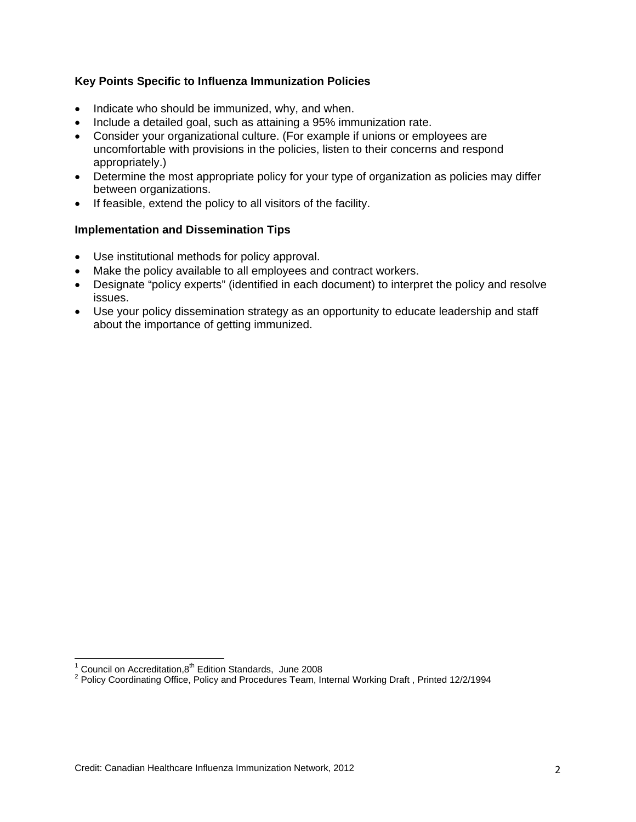#### **Key Points Specific to Influenza Immunization Policies**

- Indicate who should be immunized, why, and when.
- Include a detailed goal, such as attaining a 95% immunization rate.
- Consider your organizational culture. (For example if unions or employees are uncomfortable with provisions in the policies, listen to their concerns and respond appropriately.)
- Determine the most appropriate policy for your type of organization as policies may differ between organizations.
- If feasible, extend the policy to all visitors of the facility.

#### **Implementation and Dissemination Tips**

- <span id="page-16-1"></span>• Use institutional methods for policy approval.
- Make the policy available to all employees and contract workers.
- Designate "policy experts" (identified in each document) to interpret the policy and resolve issues.
- Use your policy dissemination strategy as an opportunity to educate leadership and staff about the importance of getting immunized.

 $\frac{1}{1}$  Council on Accreditation, 8<sup>th</sup> Edition Standards, June 2008

<span id="page-16-0"></span>Policy Coordinating Office, Policy and Procedures Team, Internal Working Draft , Printed 12/2/1994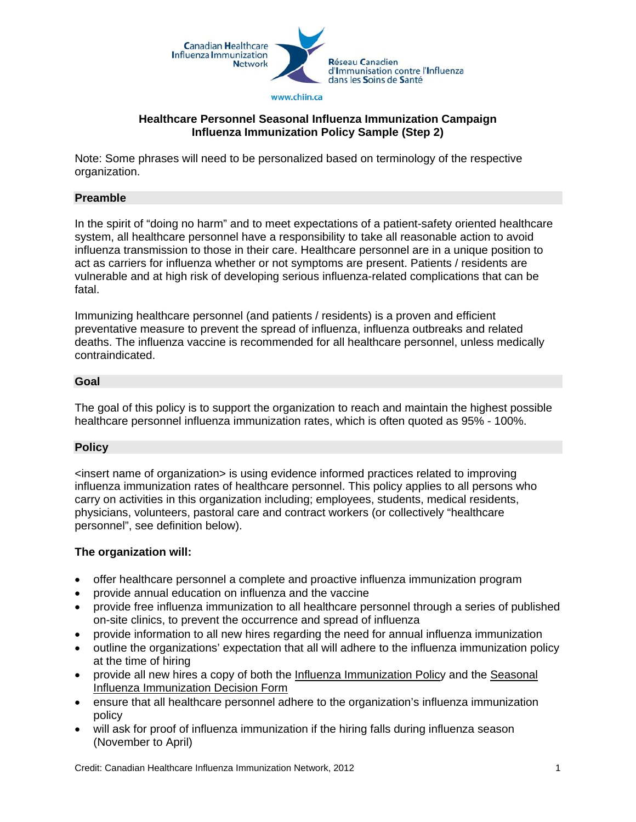

#### **Healthcare Personnel Seasonal Influenza Immunization Campaign Influenza Immunization Policy Sample (Step 2)**

Note: Some phrases will need to be personalized based on terminology of the respective organization.

#### **Preamble**

In the spirit of "doing no harm" and to meet expectations of a patient-safety oriented healthcare system, all healthcare personnel have a responsibility to take all reasonable action to avoid influenza transmission to those in their care. Healthcare personnel are in a unique position to act as carriers for influenza whether or not symptoms are present. Patients / residents are vulnerable and at high risk of developing serious influenza-related complications that can be fatal.

Immunizing healthcare personnel (and patients / residents) is a proven and efficient preventative measure to prevent the spread of influenza, influenza outbreaks and related deaths. The influenza vaccine is recommended for all healthcare personnel, unless medically contraindicated.

#### **Goal**

The goal of this policy is to support the organization to reach and maintain the highest possible healthcare personnel influenza immunization rates, which is often quoted as 95% - 100%.

#### **Policy**

<insert name of organization> is using evidence informed practices related to improving influenza immunization rates of healthcare personnel. This policy applies to all persons who carry on activities in this organization including; employees, students, medical residents, physicians, volunteers, pastoral care and contract workers (or collectively "healthcare personnel", see definition below).

#### **The organization will:**

- offer healthcare personnel a complete and proactive influenza immunization program
- provide annual education on influenza and the vaccine
- provide free influenza immunization to all healthcare personnel through a series of published on-site clinics, to prevent the occurrence and spread of influenza
- provide information to all new hires regarding the need for annual influenza immunization
- outline the organizations' expectation that all will adhere to the influenza immunization policy at the time of hiring
- provide all new hires a copy of both the Influenza Immunization Policy and the Seasonal Influenza Immunization Decision Form
- ensure that all healthcare personnel adhere to the organization's influenza immunization policy
- will ask for proof of influenza immunization if the hiring falls during influenza season (November to April)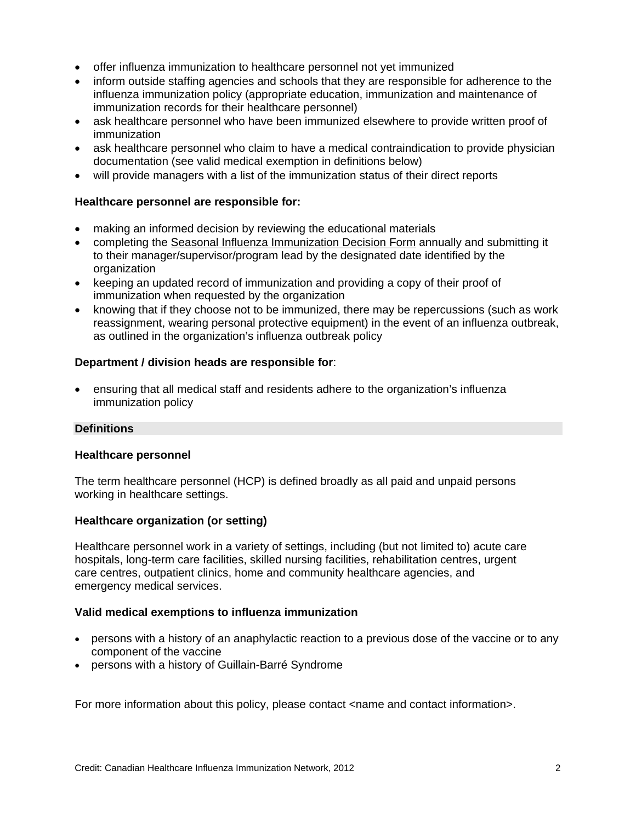- offer influenza immunization to healthcare personnel not yet immunized
- inform outside staffing agencies and schools that they are responsible for adherence to the influenza immunization policy (appropriate education, immunization and maintenance of immunization records for their healthcare personnel)
- ask healthcare personnel who have been immunized elsewhere to provide written proof of immunization
- ask healthcare personnel who claim to have a medical contraindication to provide physician documentation (see valid medical exemption in definitions below)
- will provide managers with a list of the immunization status of their direct reports

#### **Healthcare personnel are responsible for:**

- making an informed decision by reviewing the educational materials
- completing the Seasonal Influenza Immunization Decision Form annually and submitting it to their manager/supervisor/program lead by the designated date identified by the organization
- keeping an updated record of immunization and providing a copy of their proof of immunization when requested by the organization
- knowing that if they choose not to be immunized, there may be repercussions (such as work reassignment, wearing personal protective equipment) in the event of an influenza outbreak, as outlined in the organization's influenza outbreak policy

#### **Department / division heads are responsible for**:

• ensuring that all medical staff and residents adhere to the organization's influenza immunization policy

#### **Definitions**

#### **Healthcare personnel**

The term healthcare personnel (HCP) is defined broadly as all paid and unpaid persons working in healthcare settings.

#### **Healthcare organization (or setting)**

Healthcare personnel work in a variety of settings, including (but not limited to) acute care hospitals, long-term care facilities, skilled nursing facilities, rehabilitation centres, urgent care centres, outpatient clinics, home and community healthcare agencies, and emergency medical services.

#### **Valid medical exemptions to influenza immunization**

- persons with a history of an anaphylactic reaction to a previous dose of the vaccine or to any component of the vaccine
- persons with a history of Guillain-Barré Syndrome

For more information about this policy, please contact <name and contact information>.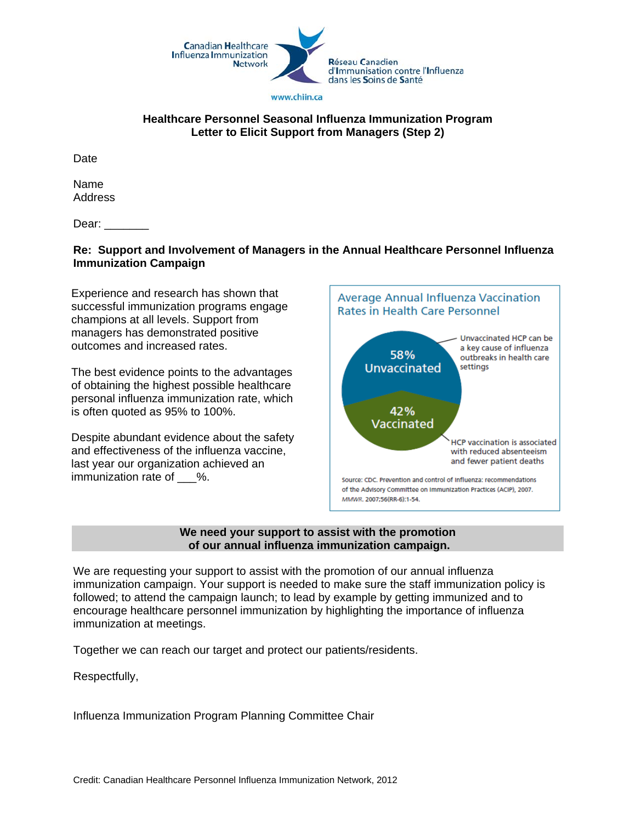

#### **Healthcare Personnel Seasonal Influenza Immunization Program Letter to Elicit Support from Managers (Step 2)**

**Date** 

Name Address

Dear:

#### **Re: Support and Involvement of Managers in the Annual Healthcare Personnel Influenza Immunization Campaign**

Experience and research has shown that successful immunization programs engage champions at all levels. Support from managers has demonstrated positive outcomes and increased rates.

The best evidence points to the advantages of obtaining the highest possible healthcare personal influenza immunization rate, which is often quoted as 95% to 100%.

Despite abundant evidence about the safety and effectiveness of the influenza vaccine, last year our organization achieved an immunization rate of %.



#### **We need your support to assist with the promotion of our annual influenza immunization campaign.**

We are requesting your support to assist with the promotion of our annual influenza immunization campaign. Your support is needed to make sure the staff immunization policy is followed; to attend the campaign launch; to lead by example by getting immunized and to encourage healthcare personnel immunization by highlighting the importance of influenza immunization at meetings.

Together we can reach our target and protect our patients/residents.

Respectfully,

Influenza Immunization Program Planning Committee Chair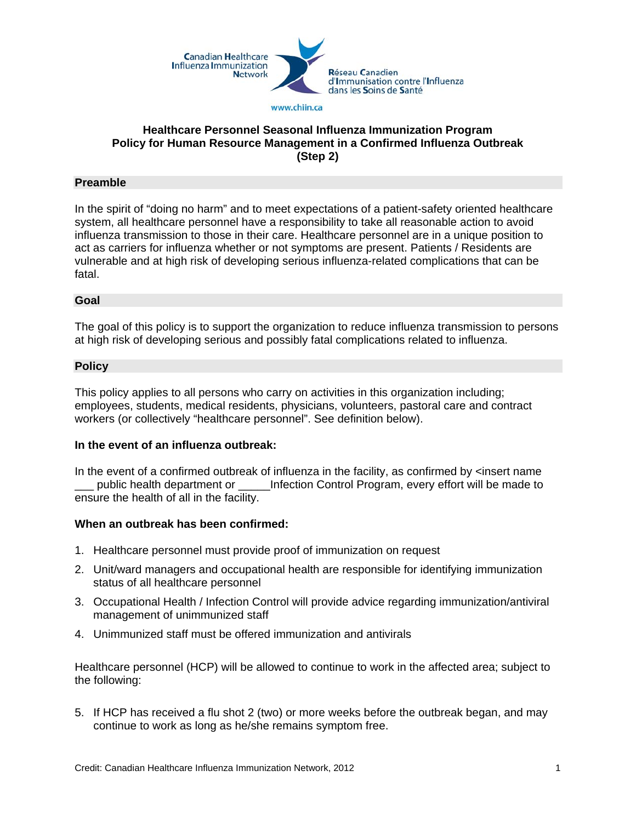

#### **Healthcare Personnel Seasonal Influenza Immunization Program Policy for Human Resource Management in a Confirmed Influenza Outbreak (Step 2)**

#### **Preamble**

In the spirit of "doing no harm" and to meet expectations of a patient-safety oriented healthcare system, all healthcare personnel have a responsibility to take all reasonable action to avoid influenza transmission to those in their care. Healthcare personnel are in a unique position to act as carriers for influenza whether or not symptoms are present. Patients / Residents are vulnerable and at high risk of developing serious influenza-related complications that can be fatal.

#### **Goal**

The goal of this policy is to support the organization to reduce influenza transmission to persons at high risk of developing serious and possibly fatal complications related to influenza.

#### **Policy**

This policy applies to all persons who carry on activities in this organization including; employees, students, medical residents, physicians, volunteers, pastoral care and contract workers (or collectively "healthcare personnel". See definition below).

#### **In the event of an influenza outbreak:**

In the event of a confirmed outbreak of influenza in the facility, as confirmed by  $\leq$  insert name public health department or **\_\_\_\_\_\_**Infection Control Program, every effort will be made to ensure the health of all in the facility.

#### **When an outbreak has been confirmed:**

- 1. Healthcare personnel must provide proof of immunization on request
- 2. Unit/ward managers and occupational health are responsible for identifying immunization status of all healthcare personnel
- 3. Occupational Health / Infection Control will provide advice regarding immunization/antiviral management of unimmunized staff
- 4. Unimmunized staff must be offered immunization and antivirals

Healthcare personnel (HCP) will be allowed to continue to work in the affected area; subject to the following:

5. If HCP has received a flu shot 2 (two) or more weeks before the outbreak began, and may continue to work as long as he/she remains symptom free.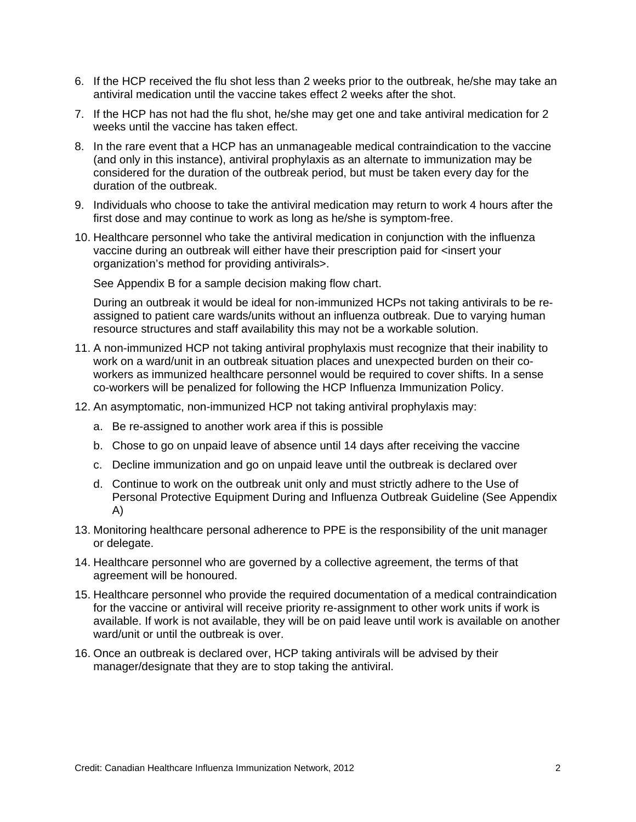- 6. If the HCP received the flu shot less than 2 weeks prior to the outbreak, he/she may take an antiviral medication until the vaccine takes effect 2 weeks after the shot.
- 7. If the HCP has not had the flu shot, he/she may get one and take antiviral medication for 2 weeks until the vaccine has taken effect.
- 8. In the rare event that a HCP has an unmanageable medical contraindication to the vaccine (and only in this instance), antiviral prophylaxis as an alternate to immunization may be considered for the duration of the outbreak period, but must be taken every day for the duration of the outbreak.
- 9. Individuals who choose to take the antiviral medication may return to work 4 hours after the first dose and may continue to work as long as he/she is symptom-free.
- 10. Healthcare personnel who take the antiviral medication in conjunction with the influenza vaccine during an outbreak will either have their prescription paid for <insert your organization's method for providing antivirals>.

See Appendix B for a sample decision making flow chart.

During an outbreak it would be ideal for non-immunized HCPs not taking antivirals to be reassigned to patient care wards/units without an influenza outbreak. Due to varying human resource structures and staff availability this may not be a workable solution.

- 11. A non-immunized HCP not taking antiviral prophylaxis must recognize that their inability to work on a ward/unit in an outbreak situation places and unexpected burden on their coworkers as immunized healthcare personnel would be required to cover shifts. In a sense co-workers will be penalized for following the HCP Influenza Immunization Policy.
- 12. An asymptomatic, non-immunized HCP not taking antiviral prophylaxis may:
	- a. Be re-assigned to another work area if this is possible
	- b. Chose to go on unpaid leave of absence until 14 days after receiving the vaccine
	- c. Decline immunization and go on unpaid leave until the outbreak is declared over
	- d. Continue to work on the outbreak unit only and must strictly adhere to the Use of Personal Protective Equipment During and Influenza Outbreak Guideline (See Appendix A)
- 13. Monitoring healthcare personal adherence to PPE is the responsibility of the unit manager or delegate.
- 14. Healthcare personnel who are governed by a collective agreement, the terms of that agreement will be honoured.
- 15. Healthcare personnel who provide the required documentation of a medical contraindication for the vaccine or antiviral will receive priority re-assignment to other work units if work is available. If work is not available, they will be on paid leave until work is available on another ward/unit or until the outbreak is over.
- 16. Once an outbreak is declared over, HCP taking antivirals will be advised by their manager/designate that they are to stop taking the antiviral.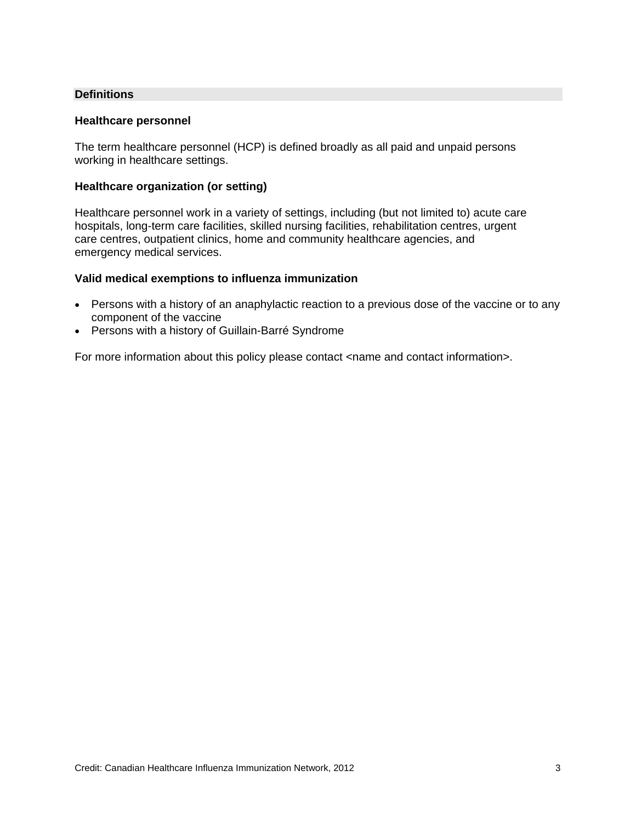#### **Definitions**

#### **Healthcare personnel**

The term healthcare personnel (HCP) is defined broadly as all paid and unpaid persons working in healthcare settings.

#### **Healthcare organization (or setting)**

Healthcare personnel work in a variety of settings, including (but not limited to) acute care hospitals, long-term care facilities, skilled nursing facilities, rehabilitation centres, urgent care centres, outpatient clinics, home and community healthcare agencies, and emergency medical services.

#### **Valid medical exemptions to influenza immunization**

- Persons with a history of an anaphylactic reaction to a previous dose of the vaccine or to any component of the vaccine
- Persons with a history of Guillain-Barré Syndrome

For more information about this policy please contact <name and contact information>.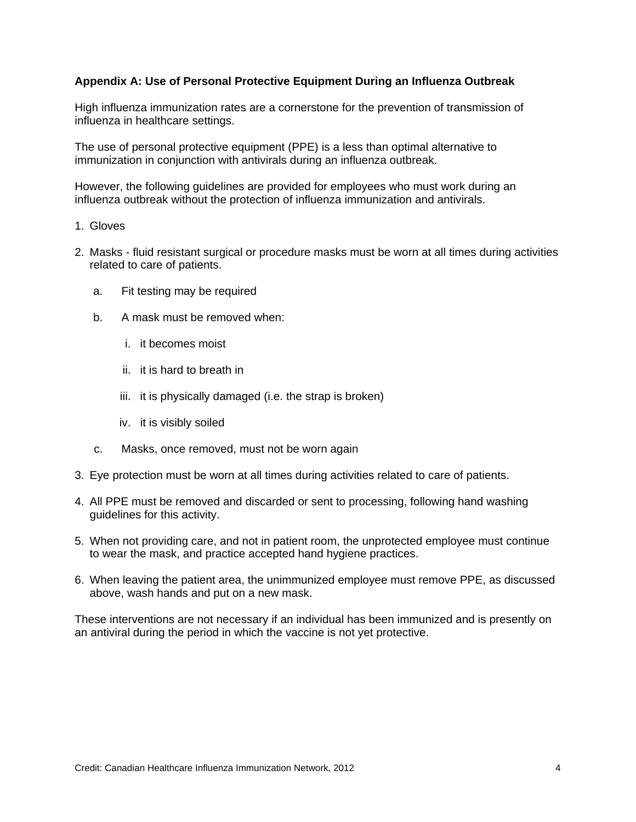#### **Appendix A: Use of Personal Protective Equipment During an Influenza Outbreak**

High influenza immunization rates are a cornerstone for the prevention of transmission of influenza in healthcare settings.

The use of personal protective equipment (PPE) is a less than optimal alternative to immunization in conjunction with antivirals during an influenza outbreak.

However, the following guidelines are provided for employees who must work during an influenza outbreak without the protection of influenza immunization and antivirals.

- 1. Gloves
- 2. Masks fluid resistant surgical or procedure masks must be worn at all times during activities related to care of patients.
	- a. Fit testing may be required
	- b. A mask must be removed when:
		- i. it becomes moist
		- ii. it is hard to breath in
		- iii. it is physically damaged (i.e. the strap is broken)
		- iv. it is visibly soiled
	- c. Masks, once removed, must not be worn again
- 3. Eye protection must be worn at all times during activities related to care of patients.
- 4. All PPE must be removed and discarded or sent to processing, following hand washing guidelines for this activity.
- 5. When not providing care, and not in patient room, the unprotected employee must continue to wear the mask, and practice accepted hand hygiene practices.
- 6. When leaving the patient area, the unimmunized employee must remove PPE, as discussed above, wash hands and put on a new mask.

These interventions are not necessary if an individual has been immunized and is presently on an antiviral during the period in which the vaccine is not yet protective.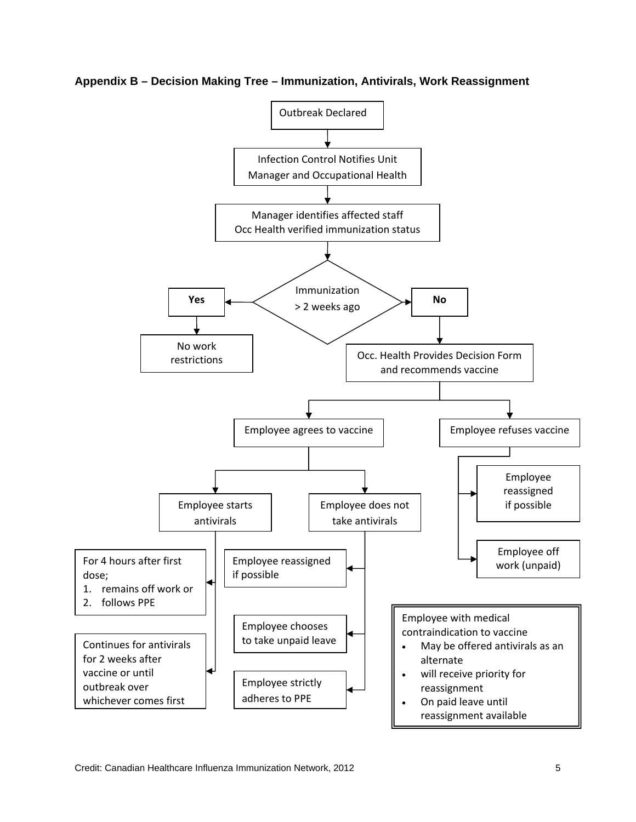

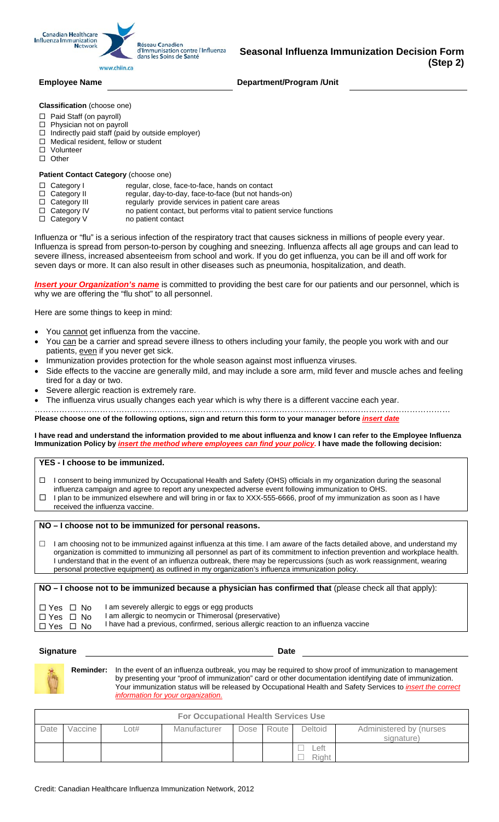**Canadian Healthcare** Influenza Immunization<br>Network

Réseau Canadien d'Immunisation contre l'Influenza dans les Soins de Santé

**Employee Name Constraining Constraining Constraining Department/Program /Unit** 

**Classification** (choose one)

- □ Paid Staff (on payroll)
- $\Box$  Physician not on payroll
- $\Box$  Indirectly paid staff (paid by outside employer)

www.chiin.ca

- $\Box$  Medical resident, fellow or student
- □ Volunteer
- $\square$  Other

#### **Patient Contact Category** (choose one)

- Category I regular, close, face-to-face, hands on contact
- □ Category II regular, day-to-day, face-to-face (but not hands-on)
- $\Box$  Category III regularly provide services in patient care areas
- $\Box$  Category IV no patient contact, but performs vital to patient service functions  $\Box$  Category V no patient contact
- no patient contact

Influenza or "flu" is a serious infection of the respiratory tract that causes sickness in millions of people every year. Influenza is spread from person-to-person by coughing and sneezing. Influenza affects all age groups and can lead to severe illness, increased absenteeism from school and work. If you do get influenza, you can be ill and off work for seven days or more. It can also result in other diseases such as pneumonia, hospitalization, and death.

*Insert your Organization's name* is committed to providing the best care for our patients and our personnel, which is why we are offering the "flu shot" to all personnel.

Here are some things to keep in mind:

- You cannot get influenza from the vaccine.
- You can be a carrier and spread severe illness to others including your family, the people you work with and our patients, even if you never get sick.
- Immunization provides protection for the whole season against most influenza viruses.
- Side effects to the vaccine are generally mild, and may include a sore arm, mild fever and muscle aches and feeling tired for a day or two.
- Severe allergic reaction is extremely rare.
- The influenza virus usually changes each year which is why there is a different vaccine each year.

……………………………………………………………………………………………………………………………………… Please choose one of the following options, sign and return this form to your manager before *insert date* 

**I have read and understand the information provided to me about influenza and know I can refer to the Employee Influenza Immunization Policy by** *insert the method where employees can find your policy***. I have made the following decision:** 

#### **YES - I choose to be immunized.**

- I consent to being immunized by Occupational Health and Safety (OHS) officials in my organization during the seasonal
- influenza campaign and agree to report any unexpected adverse event following immunization to OHS.
- $\Box$  I plan to be immunized elsewhere and will bring in or fax to XXX-555-6666, proof of my immunization as soon as I have received the influenza vaccine.

#### **NO – I choose not to be immunized for personal reasons.**

 $\Box$  I am choosing not to be immunized against influenza at this time. I am aware of the facts detailed above, and understand my organization is committed to immunizing all personnel as part of its commitment to infection prevention and workplace health. I understand that in the event of an influenza outbreak, there may be repercussions (such as work reassignment, wearing personal protective equipment) as outlined in my organization's influenza immunization policy.

**NO – I choose not to be immunized because a physician has confirmed that** (please check all that apply):

| I□Yes □ No | I am severely allergic to eggs or egg products                                      |
|------------|-------------------------------------------------------------------------------------|
| I□Yes □ No | I am allergic to neomycin or Thimerosal (preservative)                              |
| ∣□Yes □ No | I have had a previous, confirmed, serious allergic reaction to an influenza vaccine |

#### **Signature** Date **Date**

**Reminder:** In the event of an influenza outbreak, you may be required to show proof of immunization to management by presenting your "proof of immunization" card or other documentation identifying date of immunization. Your immunization status will be released by Occupational Health and Safety Services to *insert the correct information for your organi* 

| <b>For Occupational Health Services Use</b> |         |      |              |      |       |                |                                       |
|---------------------------------------------|---------|------|--------------|------|-------|----------------|---------------------------------------|
| Date                                        | Vaccine | _ot# | Manufacturer | Dose | Route | <b>Deltoid</b> | Administered by (nurses<br>signature) |
|                                             |         |      |              |      |       | _eft_<br>Right |                                       |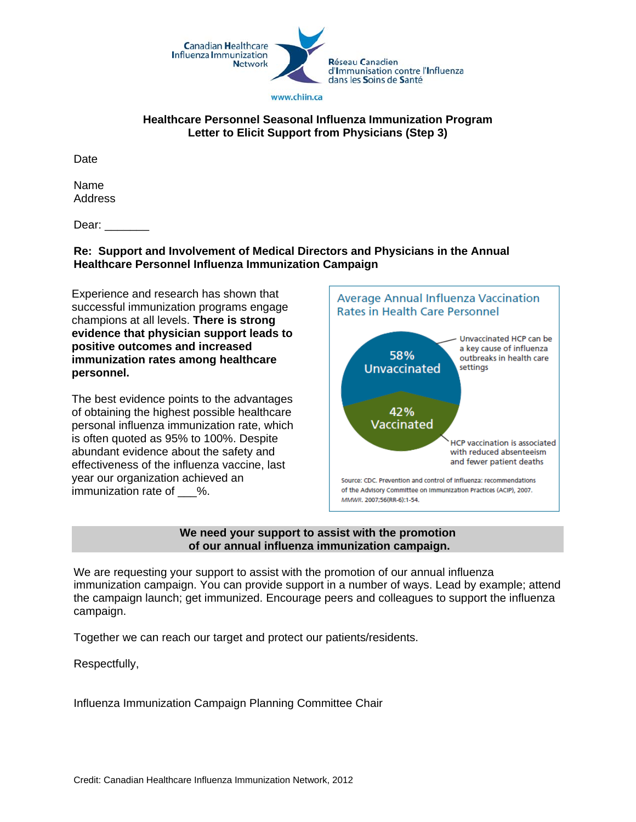

#### **Healthcare Personnel Seasonal Influenza Immunization Program Letter to Elicit Support from Physicians (Step 3)**

Date

Name Address

Dear:  $\qquad \qquad$ 

#### **Re: Support and Involvement of Medical Directors and Physicians in the Annual Healthcare Personnel Influenza Immunization Campaign**

Experience and research has shown that successful immunization programs engage champions at all levels. **There is strong evidence that physician support leads to positive outcomes and increased immunization rates among healthcare personnel.** 

The best evidence points to the advantages of obtaining the highest possible healthcare personal influenza immunization rate, which is often quoted as 95% to 100%. Despite abundant evidence about the safety and effectiveness of the influenza vaccine, last year our organization achieved an immunization rate of \_\_\_%.



#### **We need your support to assist with the promotion of our annual influenza immunization campaign.**

We are requesting your support to assist with the promotion of our annual influenza immunization campaign. You can provide support in a number of ways. Lead by example; attend the campaign launch; get immunized. Encourage peers and colleagues to support the influenza campaign.

Together we can reach our target and protect our patients/residents.

Respectfully,

Influenza Immunization Campaign Planning Committee Chair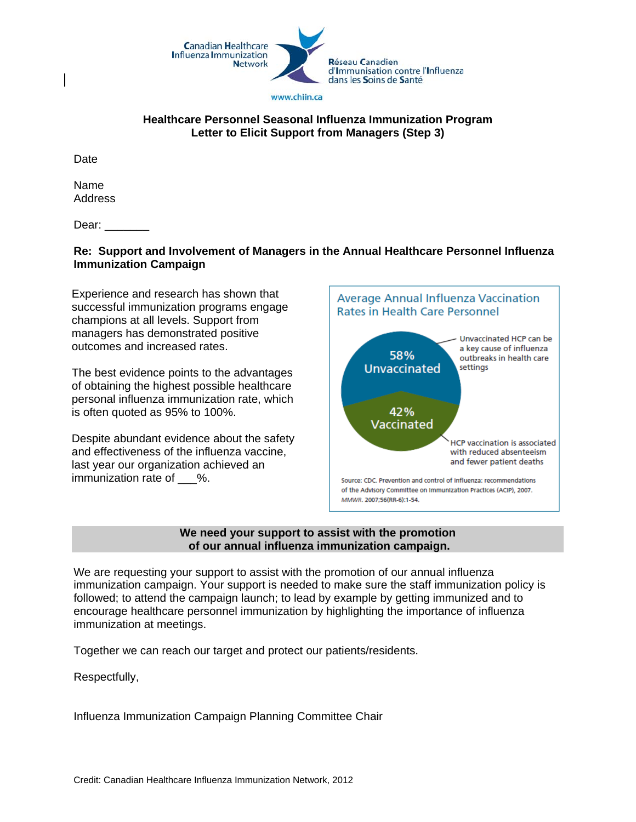

#### **Healthcare Personnel Seasonal Influenza Immunization Program Letter to Elicit Support from Managers (Step 3)**

Date

Name Address

Dear:  $\qquad \qquad$ 

#### **Re: Support and Involvement of Managers in the Annual Healthcare Personnel Influenza Immunization Campaign**

Experience and research has shown that successful immunization programs engage champions at all levels. Support from managers has demonstrated positive outcomes and increased rates.

The best evidence points to the advantages of obtaining the highest possible healthcare personal influenza immunization rate, which is often quoted as 95% to 100%.

Despite abundant evidence about the safety and effectiveness of the influenza vaccine, last year our organization achieved an immunization rate of \_\_\_%.



#### **We need your support to assist with the promotion of our annual influenza immunization campaign.**

We are requesting your support to assist with the promotion of our annual influenza immunization campaign. Your support is needed to make sure the staff immunization policy is followed; to attend the campaign launch; to lead by example by getting immunized and to encourage healthcare personnel immunization by highlighting the importance of influenza immunization at meetings.

Together we can reach our target and protect our patients/residents.

Respectfully,

Influenza Immunization Campaign Planning Committee Chair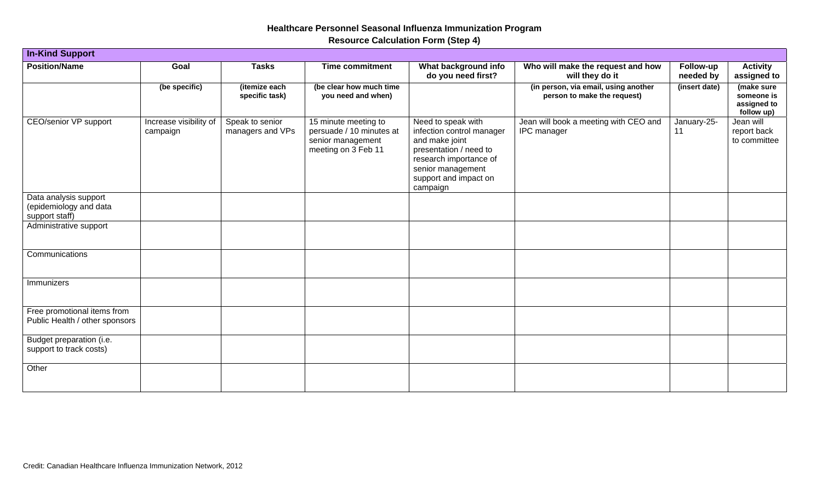# **Healthcare Personnel Seasonal Influenza Immunization Program**

**Resource Calculation Form (Step 4)** 

| <b>In-Kind Support</b>                                            |                                    |                                     |                                                                                              |                                                                                                                                                                                 |                                                                     |                        |                                                       |
|-------------------------------------------------------------------|------------------------------------|-------------------------------------|----------------------------------------------------------------------------------------------|---------------------------------------------------------------------------------------------------------------------------------------------------------------------------------|---------------------------------------------------------------------|------------------------|-------------------------------------------------------|
| <b>Position/Name</b>                                              | Goal                               | <b>Tasks</b>                        | <b>Time commitment</b>                                                                       | What background info<br>do you need first?                                                                                                                                      | Who will make the request and how<br>will they do it                | Follow-up<br>needed by | <b>Activity</b><br>assigned to                        |
|                                                                   | (be specific)                      | (itemize each<br>specific task)     | (be clear how much time<br>you need and when)                                                |                                                                                                                                                                                 | (in person, via email, using another<br>person to make the request) | (insert date)          | (make sure<br>someone is<br>assigned to<br>follow up) |
| CEO/senior VP support                                             | Increase visibility of<br>campaign | Speak to senior<br>managers and VPs | 15 minute meeting to<br>persuade / 10 minutes at<br>senior management<br>meeting on 3 Feb 11 | Need to speak with<br>infection control manager<br>and make joint<br>presentation / need to<br>research importance of<br>senior management<br>support and impact on<br>campaign | Jean will book a meeting with CEO and<br>IPC manager                | January-25-<br>11      | Jean will<br>report back<br>to committee              |
| Data analysis support<br>(epidemiology and data<br>support staff) |                                    |                                     |                                                                                              |                                                                                                                                                                                 |                                                                     |                        |                                                       |
| Administrative support                                            |                                    |                                     |                                                                                              |                                                                                                                                                                                 |                                                                     |                        |                                                       |
| Communications                                                    |                                    |                                     |                                                                                              |                                                                                                                                                                                 |                                                                     |                        |                                                       |
| Immunizers                                                        |                                    |                                     |                                                                                              |                                                                                                                                                                                 |                                                                     |                        |                                                       |
| Free promotional items from<br>Public Health / other sponsors     |                                    |                                     |                                                                                              |                                                                                                                                                                                 |                                                                     |                        |                                                       |
| Budget preparation (i.e.<br>support to track costs)               |                                    |                                     |                                                                                              |                                                                                                                                                                                 |                                                                     |                        |                                                       |
| Other                                                             |                                    |                                     |                                                                                              |                                                                                                                                                                                 |                                                                     |                        |                                                       |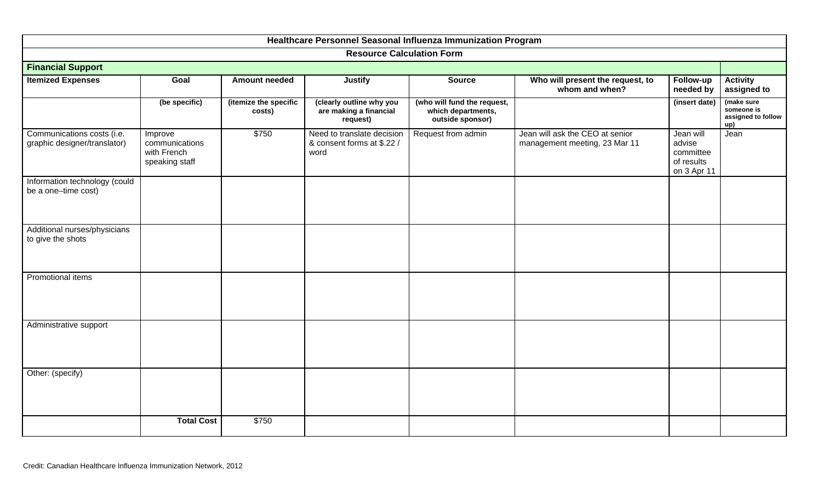| Healthcare Personnel Seasonal Influenza Immunization Program |                                                            |                                 |                                                                  |                                                                       |                                                                  |                                                               |                                                       |  |
|--------------------------------------------------------------|------------------------------------------------------------|---------------------------------|------------------------------------------------------------------|-----------------------------------------------------------------------|------------------------------------------------------------------|---------------------------------------------------------------|-------------------------------------------------------|--|
|                                                              |                                                            |                                 | <b>Resource Calculation Form</b>                                 |                                                                       |                                                                  |                                                               |                                                       |  |
| <b>Financial Support</b>                                     |                                                            |                                 |                                                                  |                                                                       |                                                                  |                                                               |                                                       |  |
| <b>Itemized Expenses</b>                                     | Goal                                                       | <b>Amount needed</b>            | <b>Justify</b>                                                   | <b>Source</b>                                                         | Who will present the request, to<br>whom and when?               | Follow-up<br>needed by                                        | <b>Activity</b><br>assigned to                        |  |
|                                                              | (be specific)                                              | (itemize the specific<br>costs) | (clearly outline why you<br>are making a financial<br>request)   | (who will fund the request,<br>which departments,<br>outside sponsor) |                                                                  | (insert date)                                                 | (make sure<br>someone is<br>assigned to follow<br>up) |  |
| Communications costs (i.e.<br>graphic designer/translator)   | Improve<br>communications<br>with French<br>speaking staff | \$750                           | Need to translate decision<br>& consent forms at \$.22 /<br>word | Request from admin                                                    | Jean will ask the CEO at senior<br>management meeting, 23 Mar 11 | Jean will<br>advise<br>committee<br>of results<br>on 3 Apr 11 | Jean                                                  |  |
| Information technology (could<br>be a one-time cost)         |                                                            |                                 |                                                                  |                                                                       |                                                                  |                                                               |                                                       |  |
| Additional nurses/physicians<br>to give the shots            |                                                            |                                 |                                                                  |                                                                       |                                                                  |                                                               |                                                       |  |
| Promotional items                                            |                                                            |                                 |                                                                  |                                                                       |                                                                  |                                                               |                                                       |  |
| Administrative support                                       |                                                            |                                 |                                                                  |                                                                       |                                                                  |                                                               |                                                       |  |
| Other: (specify)                                             |                                                            |                                 |                                                                  |                                                                       |                                                                  |                                                               |                                                       |  |
|                                                              | <b>Total Cost</b>                                          | \$750                           |                                                                  |                                                                       |                                                                  |                                                               |                                                       |  |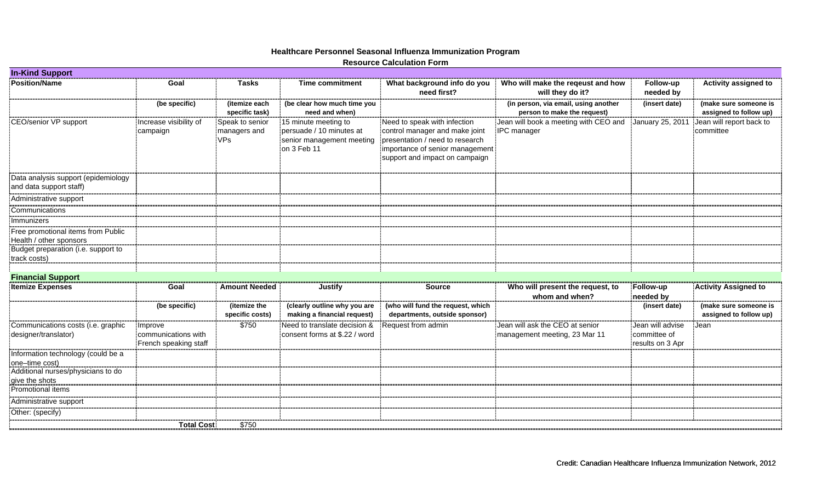|                                                                |                                                         |                                               |                                                                                              | <b>Resource Calculation Form</b>                                                                                                                                       |                                                                     |                                                      |                                                 |
|----------------------------------------------------------------|---------------------------------------------------------|-----------------------------------------------|----------------------------------------------------------------------------------------------|------------------------------------------------------------------------------------------------------------------------------------------------------------------------|---------------------------------------------------------------------|------------------------------------------------------|-------------------------------------------------|
| <b>In-Kind Support</b>                                         |                                                         |                                               |                                                                                              |                                                                                                                                                                        |                                                                     |                                                      |                                                 |
| <b>Position/Name</b>                                           | Goal                                                    | <b>Tasks</b>                                  | <b>Time commitment</b>                                                                       | What background info do you<br>need first?                                                                                                                             | Who will make the reqeust and how<br>will they do it?               | Follow-up<br>needed by                               | <b>Activity assigned to</b>                     |
|                                                                | (be specific)                                           | (itemize each<br>specific task)               | (be clear how much time you<br>need and when)                                                |                                                                                                                                                                        | (in person, via email, using another<br>person to make the request) | (insert date)                                        | (make sure someone is<br>assigned to follow up) |
| <b>CEO/senior VP support</b>                                   | Increase visibility of<br>campaign                      | Speak to senior<br>managers and<br><b>VPs</b> | 15 minute meeting to<br>persuade / 10 minutes at<br>senior management meeting<br>on 3 Feb 11 | Need to speak with infection<br>control manager and make joint<br>presentation / need to research<br>importance of senior management<br>support and impact on campaign | Jean will book a meeting with CEO and<br><b>IPC</b> manager         | January 25, 2011                                     | Jean will report back to<br>committee           |
| Data analysis support (epidemiology<br>and data support staff) |                                                         |                                               |                                                                                              |                                                                                                                                                                        |                                                                     |                                                      |                                                 |
| Administrative support                                         |                                                         |                                               |                                                                                              |                                                                                                                                                                        |                                                                     |                                                      |                                                 |
| Communications                                                 |                                                         |                                               |                                                                                              |                                                                                                                                                                        |                                                                     |                                                      |                                                 |
| Immunizers                                                     |                                                         |                                               |                                                                                              |                                                                                                                                                                        |                                                                     |                                                      |                                                 |
| Free promotional items from Public<br>Health / other sponsors  |                                                         |                                               |                                                                                              |                                                                                                                                                                        |                                                                     |                                                      |                                                 |
| Budget preparation (i.e. support to<br>track costs)            |                                                         |                                               |                                                                                              |                                                                                                                                                                        |                                                                     |                                                      |                                                 |
|                                                                |                                                         |                                               |                                                                                              |                                                                                                                                                                        |                                                                     |                                                      |                                                 |
| <b>Financial Support</b>                                       |                                                         |                                               |                                                                                              |                                                                                                                                                                        |                                                                     |                                                      |                                                 |
| <b>Itemize Expenses</b>                                        | Goal                                                    | <b>Amount Needed</b>                          | <b>Justify</b>                                                                               | <b>Source</b>                                                                                                                                                          | Who will present the request, to<br>whom and when?                  | Follow-up<br>needed by                               | <b>Activity Assigned to</b>                     |
|                                                                | (be specific)                                           | (itemize the<br>specific costs)               | (clearly outline why you are<br>making a financial request)                                  | (who will fund the request, which<br>departments, outside sponsor)                                                                                                     |                                                                     | (insert date)                                        | (make sure someone is<br>assigned to follow up) |
| Communications costs (i.e. graphic<br>designer/translator)     | Improve<br>communications with<br>French speaking staff | \$750                                         | Need to translate decision &<br>consent forms at \$.22 / word                                | Request from admin                                                                                                                                                     | Jean will ask the CEO at senior<br>management meeting, 23 Mar 11    | Jean will advise<br>committee of<br>results on 3 Apr | Jean                                            |
| Information technology (could be a<br>one-time cost)           |                                                         |                                               |                                                                                              |                                                                                                                                                                        |                                                                     |                                                      |                                                 |
| Additional nurses/physicians to do<br>give the shots           |                                                         |                                               |                                                                                              |                                                                                                                                                                        |                                                                     |                                                      |                                                 |
| Promotional items                                              |                                                         |                                               |                                                                                              |                                                                                                                                                                        |                                                                     |                                                      |                                                 |
| Administrative support                                         |                                                         |                                               |                                                                                              |                                                                                                                                                                        |                                                                     |                                                      |                                                 |
| Other: (specify)                                               |                                                         |                                               |                                                                                              |                                                                                                                                                                        |                                                                     |                                                      |                                                 |
|                                                                | <b>Total Cost:</b>                                      | \$750                                         |                                                                                              |                                                                                                                                                                        |                                                                     |                                                      |                                                 |

# **Healthcare Personnel Seasonal Influenza Immunization Program**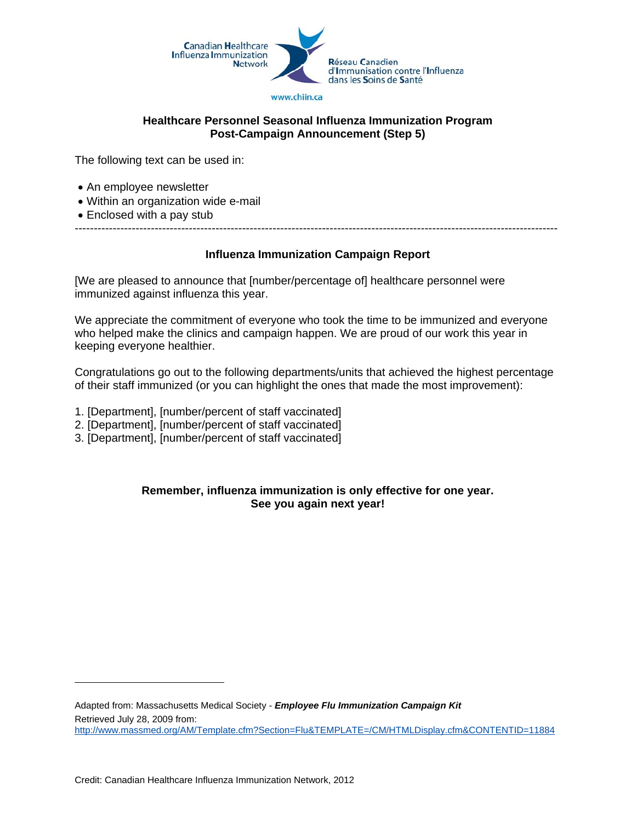

#### **Healthcare Personnel Seasonal Influenza Immunization Program Post-Campaign Announcement (Step 5)**

The following text can be used in:

- An employee newsletter
- Within an organization wide e-mail
- Enclosed with a pay stub

# **Influenza Immunization Campaign Report**

-------------------------------------------------------------------------------------------------------------------------------

[We are pleased to announce that [number/percentage of] healthcare personnel were immunized against influenza this year.

We appreciate the commitment of everyone who took the time to be immunized and everyone who helped make the clinics and campaign happen. We are proud of our work this year in keeping everyone healthier.

Congratulations go out to the following departments/units that achieved the highest percentage of their staff immunized (or you can highlight the ones that made the most improvement):

- 1. [Department], [number/percent of staff vaccinated]
- 2. [Department], [number/percent of staff vaccinated]
- 3. [Department], [number/percent of staff vaccinated]

#### **Remember, influenza immunization is only effective for one year. See you again next year!**

<span id="page-31-0"></span>Adapted from: Massachusetts Medical Society - *Employee Flu Immunization Campaign Kit* Retrieved July 28, 2009 from: <http://www.massmed.org/AM/Template.cfm?Section=Flu&TEMPLATE=/CM/HTMLDisplay.cfm&CONTENTID=11884>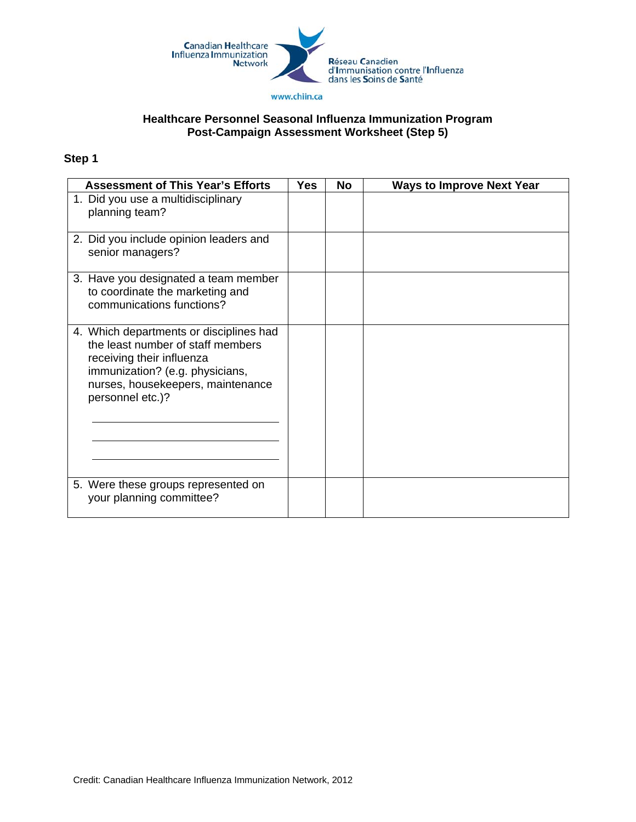

#### **Healthcare Personnel Seasonal Influenza Immunization Program Post-Campaign Assessment Worksheet (Step 5)**

| <b>Assessment of This Year's Efforts</b>                                                                                                                                                              | Yes | <b>No</b> | <b>Ways to Improve Next Year</b> |
|-------------------------------------------------------------------------------------------------------------------------------------------------------------------------------------------------------|-----|-----------|----------------------------------|
| 1. Did you use a multidisciplinary<br>planning team?                                                                                                                                                  |     |           |                                  |
| 2. Did you include opinion leaders and<br>senior managers?                                                                                                                                            |     |           |                                  |
| 3. Have you designated a team member<br>to coordinate the marketing and<br>communications functions?                                                                                                  |     |           |                                  |
| 4. Which departments or disciplines had<br>the least number of staff members<br>receiving their influenza<br>immunization? (e.g. physicians,<br>nurses, housekeepers, maintenance<br>personnel etc.)? |     |           |                                  |
| 5. Were these groups represented on<br>your planning committee?                                                                                                                                       |     |           |                                  |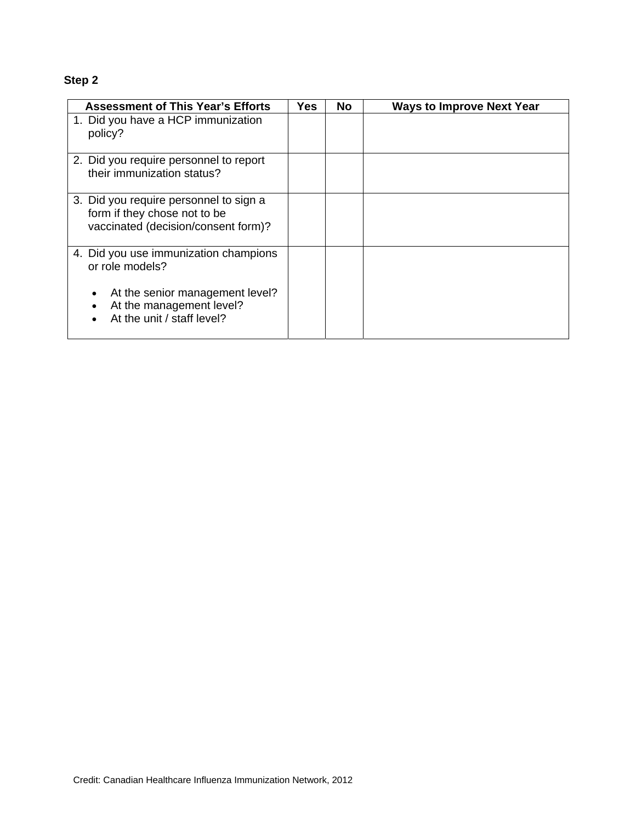| <b>Assessment of This Year's Efforts</b>                                                                      | Yes | <b>No</b> | <b>Ways to Improve Next Year</b> |
|---------------------------------------------------------------------------------------------------------------|-----|-----------|----------------------------------|
| 1. Did you have a HCP immunization<br>policy?                                                                 |     |           |                                  |
| 2. Did you require personnel to report<br>their immunization status?                                          |     |           |                                  |
| 3. Did you require personnel to sign a<br>form if they chose not to be<br>vaccinated (decision/consent form)? |     |           |                                  |
| 4. Did you use immunization champions<br>or role models?                                                      |     |           |                                  |
| At the senior management level?<br>At the management level?<br>At the unit / staff level?                     |     |           |                                  |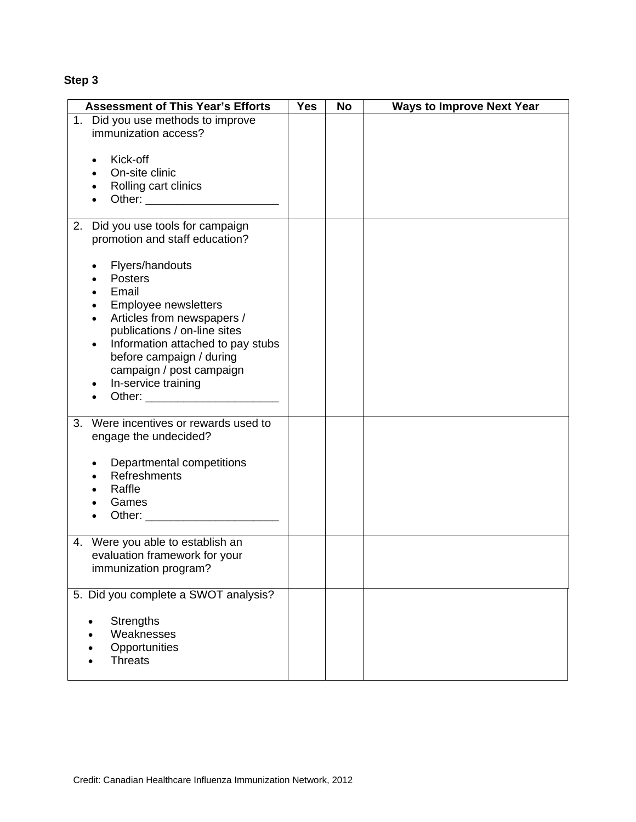| <b>Assessment of This Year's Efforts</b>                          | <b>Yes</b> | No | <b>Ways to Improve Next Year</b> |
|-------------------------------------------------------------------|------------|----|----------------------------------|
| 1. Did you use methods to improve                                 |            |    |                                  |
| immunization access?                                              |            |    |                                  |
| Kick-off                                                          |            |    |                                  |
| On-site clinic                                                    |            |    |                                  |
| Rolling cart clinics                                              |            |    |                                  |
|                                                                   |            |    |                                  |
|                                                                   |            |    |                                  |
| 2. Did you use tools for campaign                                 |            |    |                                  |
| promotion and staff education?                                    |            |    |                                  |
| Flyers/handouts                                                   |            |    |                                  |
| <b>Posters</b>                                                    |            |    |                                  |
| Email                                                             |            |    |                                  |
| Employee newsletters                                              |            |    |                                  |
| Articles from newspapers /                                        |            |    |                                  |
| publications / on-line sites                                      |            |    |                                  |
| Information attached to pay stubs                                 |            |    |                                  |
| before campaign / during<br>campaign / post campaign              |            |    |                                  |
| In-service training                                               |            |    |                                  |
|                                                                   |            |    |                                  |
|                                                                   |            |    |                                  |
| Were incentives or rewards used to<br>3.                          |            |    |                                  |
| engage the undecided?                                             |            |    |                                  |
| Departmental competitions                                         |            |    |                                  |
| Refreshments                                                      |            |    |                                  |
| Raffle                                                            |            |    |                                  |
| Games                                                             |            |    |                                  |
|                                                                   |            |    |                                  |
|                                                                   |            |    |                                  |
| 4. Were you able to establish an<br>evaluation framework for your |            |    |                                  |
| immunization program?                                             |            |    |                                  |
|                                                                   |            |    |                                  |
| 5. Did you complete a SWOT analysis?                              |            |    |                                  |
| <b>Strengths</b>                                                  |            |    |                                  |
| Weaknesses                                                        |            |    |                                  |
| Opportunities                                                     |            |    |                                  |
| <b>Threats</b>                                                    |            |    |                                  |
|                                                                   |            |    |                                  |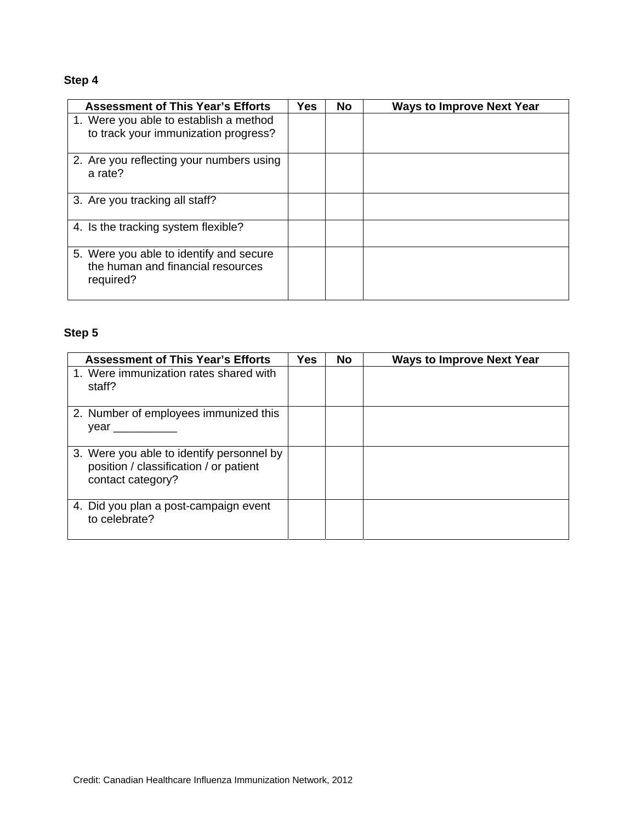| <b>Assessment of This Year's Efforts</b>                                                  | Yes. | <b>No</b> | <b>Ways to Improve Next Year</b> |
|-------------------------------------------------------------------------------------------|------|-----------|----------------------------------|
| 1. Were you able to establish a method<br>to track your immunization progress?            |      |           |                                  |
| 2. Are you reflecting your numbers using<br>a rate?                                       |      |           |                                  |
| 3. Are you tracking all staff?                                                            |      |           |                                  |
| 4. Is the tracking system flexible?                                                       |      |           |                                  |
| 5. Were you able to identify and secure<br>the human and financial resources<br>required? |      |           |                                  |

| <b>Assessment of This Year's Efforts</b>                                                                 | Yes | No | <b>Ways to Improve Next Year</b> |
|----------------------------------------------------------------------------------------------------------|-----|----|----------------------------------|
| 1. Were immunization rates shared with<br>staff?                                                         |     |    |                                  |
| 2. Number of employees immunized this<br>vear                                                            |     |    |                                  |
| 3. Were you able to identify personnel by<br>position / classification / or patient<br>contact category? |     |    |                                  |
| 4. Did you plan a post-campaign event<br>to celebrate?                                                   |     |    |                                  |